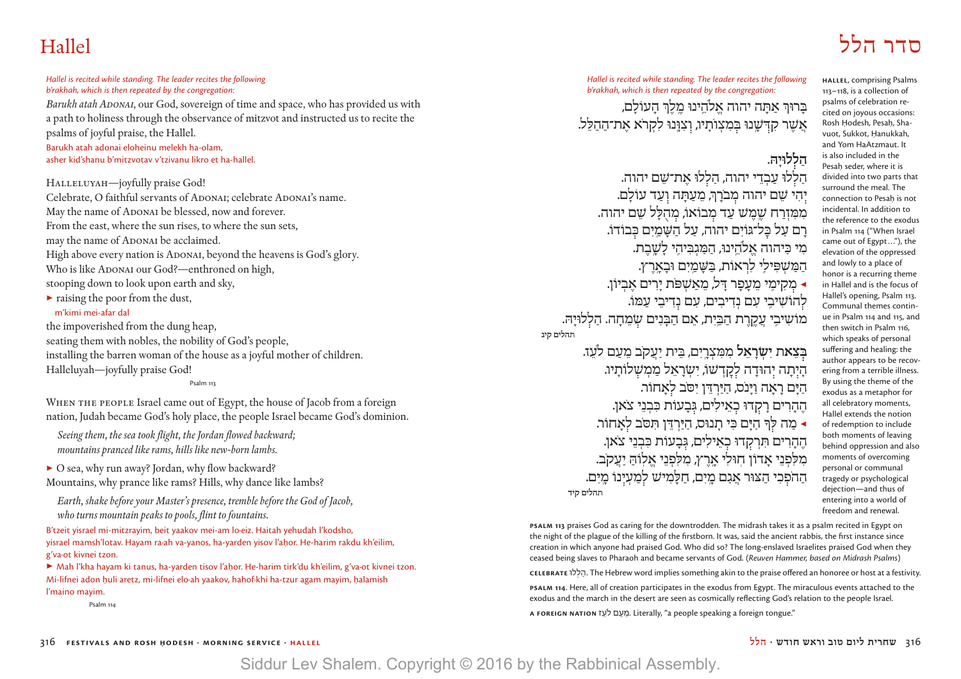# סדר הלל Hallel

**Hallel**, comprising Psalms 113–118, is a collection of psalms of celebration recited on joyous occasions: Rosh Hodesh, Pesah, Shavuot, Sukkot, Hanukkah, and Yom HaAtzmaut. It is also included in the Pesah seder, where it is divided into two parts that surround the meal. The connection to Pesah is not incidental. In addition to the reference to the exodus in Psalm 114 ("When Israel came out of Egypt..."), the elevation of the oppressed and lowly to a place of honor is a recurring theme in Hallel and is the focus of Hallel's opening, Psalm 113. Communal themes continue in Psalm 114 and 115, and then switch in Psalm 116, which speaks of personal suffering and healing: the author appears to be recovering from a terrible illness. By using the theme of the exodus as a metaphor for all celebratory moments, Hallel extends the notion of redemption to include both moments of leaving behind oppression and also moments of overcoming personal or communal tragedy or psychological dejection—and thus of entering into a world of freedom and renewal.

#### *Hallel is recited while standing. The leader recites the following b'rakhah, which is then repeated by the congregation:*

*Barukh atah Adonai*, our God, sovereign of time and space, who has provided us with a path to holiness through the observance of mitzvot and instructed us to recite the psalms of joyful praise, the Hallel.

Barukh atah adonai eloheinu melekh ha-olam, asher kid'shanu b'mitzvotav v'tzivanu likro et ha-hallel.

HALLELUYAH-joyfully praise God! Celebrate, O faithful servants of ADONAI; celebrate ADONAI's name. May the name of ADONAI be blessed, now and forever. From the east, where the sun rises, to where the sun sets, may the name of ADONAI be acclaimed. High above every nation is ADONAI, beyond the heavens is God's glory. Who is like ADONAI our God?—enthroned on high, stooping down to look upon earth and sky,

▶ raising the poor from the dust,

### m'kimi mei-afar dal

the impoverished from the dung heap, seating them with nobles, the nobility of God's people, installing the barren woman of the house as a joyful mother of children. Halleluyah—joyfully praise God!

Psalm 113

WHEN THE PEOPLE Israel came out of Egypt, the house of Jacob from a foreign nation, Judah became God's holy place, the people Israel became God's dominion.

 *Seeing them, the sea took flight, the Jordan flowed backward; mountains pranced like rams, hills like new-born lambs.*

▶ O sea, why run away? Jordan, why flow backward? Mountains, why prance like rams? Hills, why dance like lambs?

 *Earth, shake before your Master's presence, tremble before the God of Jacob, who turns mountain peaks to pools, flint to fountains.*

B'tzeit yisrael mi-mitzrayim, beit yaakov mei-am lo·eiz. Haitah yehudah l'kodsho, yisrael mamsh'lotav. Hayam ra·ah va-yanos, ha-yarden yisov l'ahor. He-harim rakdu kh'eilim, g'va·ot kivnei tzon.

▶ Mah l'kha hayam ki tanus, ha-yarden tisov l'ahor. He-harim tirk'du kh'eilim, g'va·ot kivnei tzon. Mi-lifnei adon huli aretz, mi-lifnei elo·ah yaakov, hahof·khi ha-tzur agam mayim, halamish l'maino mayim.

Psalm 114

*Hallel is recited while standing. The leader recites the following b'rakhah, which is then repeated by the congregation:*

בִּרוּרְּ אַתָּה יהוה אַלהִינוּ מַלֹרְ הַעוֹלִם, אֲשֶׁר קִדְּשֶׁנוּ בְּמִצְוֹתָיוּ, וְצִוֲּנוּ לִקְרֹא אֲת־הַהַלֵּל.

### **הַ ל לוּיָ הּ.**

הללוּ עבדי יהוה, הללוּ את־שם יהוה. יִהִי שֵׁם יהוה מִבֹרַךְ, מֵעֲתַּה וְעַד עוֹלַם. ממזרח שמש עד מבוֹאוֹ, מהלל שם יהוה. רִם עַל כּל־גּוֹיִם יִהוֹה, עַל הֹשַׁמִים כּבוֹדוֹ. מִי כִּיהוה אלהינוּ, המגבּיהי לשבת. הַ מַּ שַׁ פִּילִי לִרְאוֹת, בַּשַּׁמִים וּבִארץ. גַקִימֵי מֵעֲפָר דַּל, מֵאֲשָׁפּׂת יַרִים אֵבְיוֹן. ▲ לְהוֹשִׁיּבֵי עִם נִדִיבִים, עִם נִדִיבֵי עַמּוֹ. מוֹשִ יבִֽ י עֲ קֶ ֽ רֶ ת הַ בַּ ֽיִ ת, אֵ ם הַ בָּ נִ ים שׂ מֵ חָ ה. הַ ל לוּיָ הּ.  **תהלים קיג**

ב**ִצְאת יִשְׂרָאֵל** מִמְצְרֵיִם, בֵּית יַעֲקֹב מֵעֲם לֹעֵז. היתה יהוּדה לקדשו, ישראל ממשלותיו. ֹ הַ יָּ ם רָ אָ ה וַ יָּ נס, הַ יַּ רְ דֵּ ן יִ סֹּב ל אָ חוֹר. ֹאן. הֶ הָ רִ ים רָ ק דוּ כ אֵ ילִ ים, גּ בָ עוֹת כִּ בְ נֵ י צ ◀ מַ ה לּ ָך הַ יָּ ם כִּ י תָ נוּס, הַ יַּ רְ דֵּ ן תִּ סֹּב ל אָ חוֹר. הֶהָרִים תִּרְקְדוּ כְאֵילִים, גְּבָעוֹת כִּבְנֵי צֹאן. מלֹפני אדוֹן חוּלי ארץ, מלפני אלוֹה יעקב. הַהֹפְ**כִי הַצּוּר אֲנַם מֶיִם, חַלָּמִישׁ לְמַעְיְנוֹ מֵיִם.**<br>תהלים קיד

**PSALM 113** praises God as caring for the downtrodden. The midrash takes it as a psalm recited in Egypt on the night of the plague of the killing of the firstborn. It was, said the ancient rabbis, the first instance since creation in which anyone had praised God. Who did so? The long-enslaved Israelites praised God when they ceased being slaves to Pharaoh and became servants of God. (*Reuven Hammer, based on Midrash Psalms*)

**Celebrate** �ל ְל ַה. וּ The Hebrew word implies something akin to the praise offered an honoree or host at a festivity.

**PSALM 114**. Here, all of creation participates in the exodus from Egypt. The miraculous events attached to the exodus and the march in the desert are seen as cosmically reflecting God's relation to the people Israel.

A FOREIGN NATION <sup>ז ה</sup> ובעם לעז Literally, "a people speaking a foreign tongue."

### 316 **festivals and rosh Ḥodesh · morning service · hallel הלל · חודש וראש טוב ליום שחרית** 316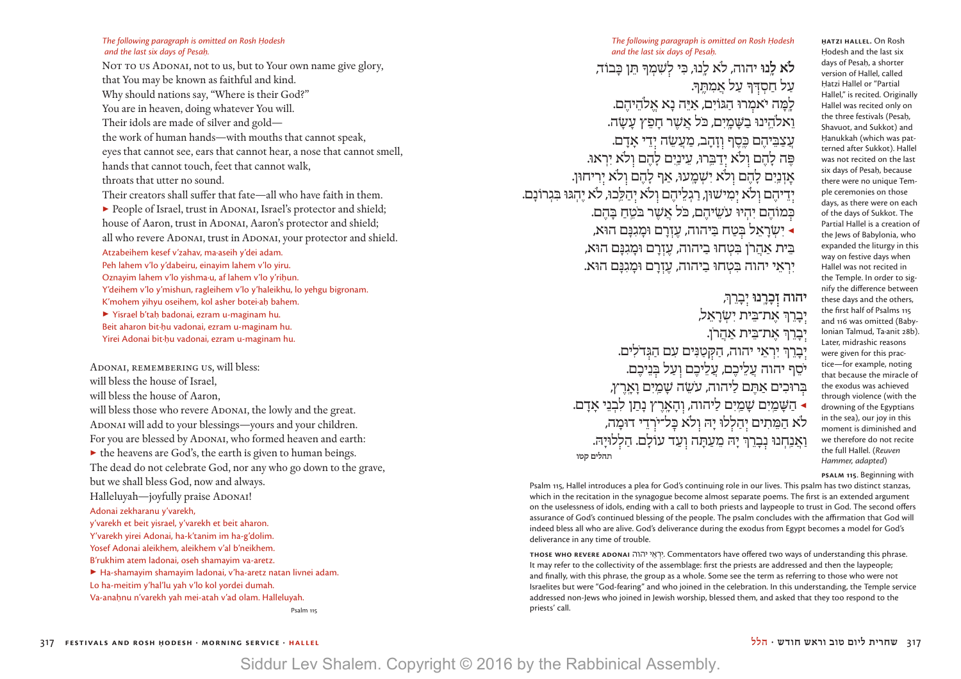*The following paragraph is omitted on Rosh Hodesh* and the last six days of Pesah.

NOT TO US ADONAI, not to us, but to Your own name give glory, that You may be known as faithful and kind. Why should nations say, "Where is their God?" You are in heaven, doing whatever You will. Their idols are made of silver and gold the work of human hands—with mouths that cannot speak, eyes that cannot see, ears that cannot hear, a nose that cannot smell, hands that cannot touch, feet that cannot walk, throats that utter no sound. Their creators shall suffer that fate—all who have faith in them. ▶ People of Israel, trust in ADONAI, Israel's protector and shield; house of Aaron, trust in ADONAI, Aaron's protector and shield: all who revere ADONAI, trust in ADONAI, your protector and shield. Atzabeihem kesef v'zahav, ma·aseih y'dei adam. Peh lahem v'lo y'dabeiru, einayim lahem v'lo yiru. Oznayim lahem v'lo yishma·u, af lahem v'lo y'riḥun. Y'deihem v'lo y'mishun, ragleihem v'lo y'haleikhu, lo yehgu bigronam. K'mohem yihyu oseihem, kol asher botei·ah bahem. ▶ Yisrael b'taḥ badonai, ezram u-maginam hu. Beit aharon bit·hu vadonai, ezram u-maginam hu.

Yirei Adonai bit·hu vadonai, ezram u-maginam hu.

Adonai, remembering us, will bless: will bless the house of Israel, will bless the house of Aaron, will bless those who revere ADONAI, the lowly and the great. ADONAI will add to your blessings—yours and your children. For you are blessed by ADONAI, who formed heaven and earth:  $\triangleright$  the heavens are God's, the earth is given to human beings. The dead do not celebrate God, nor any who go down to the grave, but we shall bless God, now and always. Halleluyah—joyfully praise ADONAI! Adonai zekharanu y'varekh, y'varekh et beit yisrael, y'varekh et beit aharon. Y'varekh yirei Adonai, ha-k'tanim im ha-g'dolim. Yosef Adonai aleikhem, aleikhem v'al b'neikhem. B'rukhim atem ladonai, oseh shamayim va-aretz. ▶ Ha-shamayim shamayim ladonai, v'ha-aretz natan livnei adam. Lo ha-meitim y'hal'lu yah v'lo kol yordei dumah. Va-anahnu n'varekh yah mei-atah v'ad olam. Halleluyah.

Psalm 115

לֹ**א לֵנוּ** יהוה, לֹא לֵנוּ, כִּי לְשָׁמְךָּ תֵּן כַּבוֹד, על חסדִר על אמתִךּ. למה יאמרוּ הגּוֹים. איּה נא אלהיהם. ֹ וֵ אֹלהֵ ֽ ינוּ בַ שָּׁ מָ ֽ יִ ם, כּל אֲ שֶׁ ר חָ פֵ ץ עָ שָׂ ה. עֲצַבִּיהֶם כֵּסֶף ווַהָב, מַעֲשֶׂה יְדֵי אַדָם. ָפֶּה לִהֶם ולֹא ידִבְּרוּ, עַינִים לָהֶם ולֹא יִרְאוּ. אַזְנַיִם לָהֶם וְלֹא יִשְׁמֵעוּ, אַף לַהֶם וְלֹא יִרִיחוּן. יִדֵיהֵם וְלֹא יִמִישׁוּן, רַגְלֵיהֶם וְלֹא יְהַלֶּבוּ, לֹא יֶהְגּוּ בִּגְרוֹנַם. כִּמוֹהֶם יִהְיוּ עַשֵׂיהם, כ<sup>ּ</sup>ל אשר בּטח בּהם. ◀ יִ שְׂ רָ אֵ ל בּ טַ ח בַּ יהוה, עֶ זְ רָ ם וּמָ גִ נָּ ם הוּא, ָ בִּית אַהרֹן בַּטְחוּ בִיהוה, עַזרם וּמִגִּנֵם הוּא, יראי יהוה בּטִחוּ ביהוה, עזרם וּמִגנִּם הוּא.

> יהוה זִכָּרֳנוּ יְבָרֵך*ּ,* יִבְרֵךְ אֵת־בֵּית יִשְׂרַאֵל, יִבָרֵךְ אֵת־בֵּית אַהֲרֹן. יְבְרֵךְ יִרְאֵי יהוה, הַקְטַנִּים עִם הַגְּדֹלִים. .<br>יסף יהוה עַלֵיכֶם, עֲלֵיכֶם וְעַל בְּנֵיכֶם. בִּרוּכִים אַתֵּם לַיהוה, עֹשֶׂה שַׁמַיִם וַאַרֶץ,  $\alpha$  הַשַּׁמִים שַׁמִים ליהוה, והארץ נתן לבני אדם. לֹא המתים יהללוּ יהּ ולֹא כּל־ירדי דוּמה, וַ אֲנַחִנוּ נְבָרֵךְ יָהּ מֵעַתָּה וְעַד עוֹלָם. הַלְלוּיָהּ.  **תהלים קטו**

**H|.|atzi Hallel.** On Rosh Hodesh and the last six days of Pesah, a shorter version of Hallel, called Hatzi Hallel or "Partial Hallel," is recited. Originally Hallel was recited only on the three festivals (Pesah, Shavuot, and Sukkot) and Hanukkah (which was patterned after Sukkot). Hallel was not recited on the last six days of Pesah, because there were no unique Temple ceremonies on those days, as there were on each of the days of Sukkot. The Partial Hallel is a creation of the Jews of Babylonia, who expanded the liturgy in this way on festive days when Hallel was not recited in the Temple. In order to signify the difference between these days and the others, the first half of Psalms 115 and 116 was omitted (Babylonian Talmud, Ta∙anit 28b). Later, midrashic reasons were given for this practice—for example, noting that because the miracle of the exodus was achieved through violence (with the drowning of the Egyptians in the sea), our joy in this moment is diminished and we therefore do not recite the full Hallel. (*Reuven Hammer, adapted*)

**Psalm 115**. Beginning with

Psalm 115, Hallel introduces a plea for God's continuing role in our lives. This psalm has two distinct stanzas, which in the recitation in the synagogue become almost separate poems. The first is an extended argument on the uselessness of idols, ending with a call to both priests and laypeople to trust in God. The second offers assurance of God's continued blessing of the people. The psalm concludes with the affirmation that God will indeed bless all who are alive. God's deliverance during the exodus from Egypt becomes a model for God's deliverance in any time of trouble.

**those who revere Adonai** יהוה י ֵא ְר ִי. Commentators have offered two ways of understanding this phrase. It may refer to the collectivity of the assemblage: first the priests are addressed and then the laypeople; and finally, with this phrase, the group as a whole. Some see the term as referring to those who were not Israelites but were "God-fearing" and who joined in the celebration. In this understanding, the Temple service addressed non-Jews who joined in Jewish worship, blessed them, and asked that they too respond to the priests' call.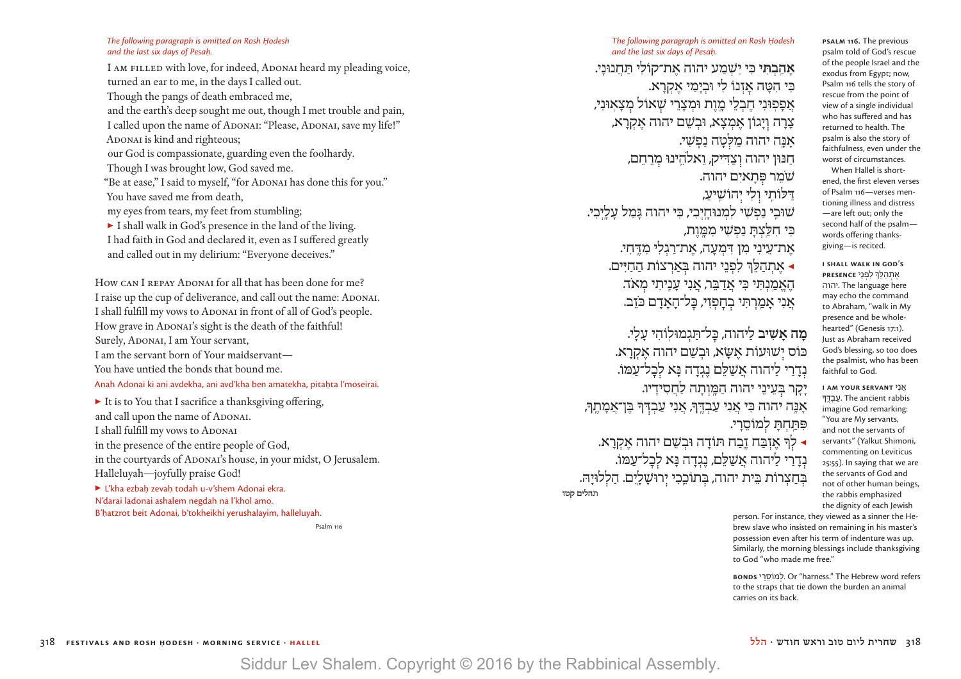#### *The following paragraph is omitted on Rosh Hodesh* and the last six days of Pesah.

I AM FILLED with love, for indeed, ADONAI heard my pleading voice, turned an ear to me, in the days I called out. Though the pangs of death embraced me, and the earth's deep sought me out, though I met trouble and pain, I called upon the name of ADONAI: "Please, ADONAI, save my life!" ADONAI is kind and righteous; our God is compassionate, guarding even the foolhardy. Though I was brought low, God saved me. "Be at ease," I said to myself, "for ADONAI has done this for you." You have saved me from death, my eyes from tears, my feet from stumbling; ▶ I shall walk in God's presence in the land of the living. I had faith in God and declared it, even as I suffered greatly and called out in my delirium: "Everyone deceives."

How CAN I REPAY ADONAI for all that has been done for me? I raise up the cup of deliverance, and call out the name: ADONAI. I shall fulfill my vows to ADONAI in front of all of God's people. How grave in ADONAI's sight is the death of the faithful! Surely, ADONAI, I am Your servant, I am the servant born of Your maidservant— You have untied the bonds that bound me. Anah Adonai ki ani avdekha, ani avd'kha ben amatekha, pitahta l'moseirai.

▶ It is to You that I sacrifice a thanksgiving offering, and call upon the name of ADONAI. I shall fulfill my vows to ADONAI in the presence of the entire people of God, in the courtyards of ADONAI's house, in your midst, O Jerusalem. Halleluyah—joyfully praise God!  $\blacktriangleright$  L'kha ezbah zevah todah u-v'shem Adonai ekra. N'darai ladonai ashalem negdah na l'khol amo. B'hatzrot beit Adonai, b'tokheikhi yerushalayim, halleluyah. Psalm 116

**אָהַבְהִי** בִּי יִשְׁמַע יהוה אַת־קוֹלי תִּחנוּנִי. כִּי הִטָּה אַזְנוֹ לִי וּבִימִי אַקְרָא. אַ פָּפִוּנִי חֲבְלֵי מֵוֵת וּמִצְרֵי שָׁאוֹל מצאוּני, צְרָה וְיָגוֹן אֶמְצָא, וּבְשֵׁם יהוה אֵקְרַא, אַנַּה יהוה מַלִּטַה נַפְשִׁי. חַנּוּן יהוה וְצַדִּיק, וֵאלהֵינוּ מִרַחֵם, ֹשׁמֵ ר פּ תָ איִ ם יהוה. דַּ לּוֹתִֽ י ו לִ י י הוֹשִֽׁ יעַ , שׁוּבִֽ י נַ פְ שִׁ י לִ מְ נוּחָ ֽ יְ כִ י, כִּ י יהוה גָּ מַ ל עָ לָ ֽיְ כִ י. כִּי חלִצת נפשי ממות, את־עיני מן דִּמְעָה, את־רגלי מִדְחִי. ◀ אֶ תְ הַ לֵּ ְך לִ פְ נֵ י יהוה בּ אַ רְ צוֹת הַ חַ יִּ ים. ֹ הֶ אֱ מַ ֽ נְ תִּ י כִּ י אֲ דַ בֵּ ר, אֲ נִ י עָ נִֽיתִ י מ אד. ֹאֲנִי אָמֵרְתִּי בְחָפְזִי, כָּל־הָאָדָם כֹּזֵב.

**מה אַשִׁיב ליהוה, כּל־תּגמוּלוֹהי עלי.** כּוֹס יִשׁוּעוֹת אֶשֶׂא, וּבְשֵׁם יהוה אַקְרַא. נְדַרִי לַיהוה אֲשַׁלֵם נֶגְדָה נַּא לְכַל־עַמּוֹ. יָקָר בְּעֵינֵי יהוה הַמֵּוְתָה לַחֲסִידַיו. אַנַּה יהוה כִּי אֲנִי עַבְדֶּךְ, אֲנִי עַבְדִּךְ בֵּן־אַמַתֵךְ, פִתְחַת למוֹסרי.  $\bf k$  לְךָ אֶזְבַּח זֶבַה תּוֹדַה וּבְשֵׁם יהוה אַקרא. נדרי ליהוה אשלם, נגדה נא לכל־עמּוֹ. בִּחַצְרוֹת בֵּית יהוה, בִּתוֹכֵכִי יִרוּשָׁלֵיִם. הַלְלוּיַהּ.  **תהלים קטז**

**Psalm 116.** The previous psalm told of God's rescue of the people Israel and the exodus from Egypt; now, Psalm 116 tells the story of rescue from the point of view of a single individual who has suffered and has returned to health. The psalm is also the story of faithfulness, even under the worst of circumstances.

When Hallel is shortened, the first eleven verses of Psalm 116—verses mentioning illness and distress —are left out; only the second half of the psalm words offering thanksgiving—is recited.

**I shall walk in God's**  אֶתְהַלֵּךְ<mark>ּ לִפְנֵי PRESENCE</mark> יהוה. The language here may echo the command to Abraham, "walk in My presence and be wholehearted" (Genesis 17:1). Just as Abraham received God's blessing, so too does the psalmist, who has been faithful to God.

**I am Your servant** י ִנ ֲא ָ עבדּך. The ancient rabbis imagine God remarking: "You are My servants, and not the servants of servants" (Yalkut Shimoni, commenting on Leviticus 25:55). In saying that we are the servants of God and not of other human beings, the rabbis emphasized the dignity of each Jewish

person. For instance, they viewed as a sinner the Hebrew slave who insisted on remaining in his master's possession even after his term of indenture was up. Similarly, the morning blessings include thanksgiving to God "who made me free."

**bonds** יכמוֹסרי, Or "harness." The Hebrew word refers to the straps that tie down the burden an animal carries on its back.

318 **festivals and rosh Ḥodesh · morning service · hallel הלל · חודש וראש טוב ליום שחרית** 318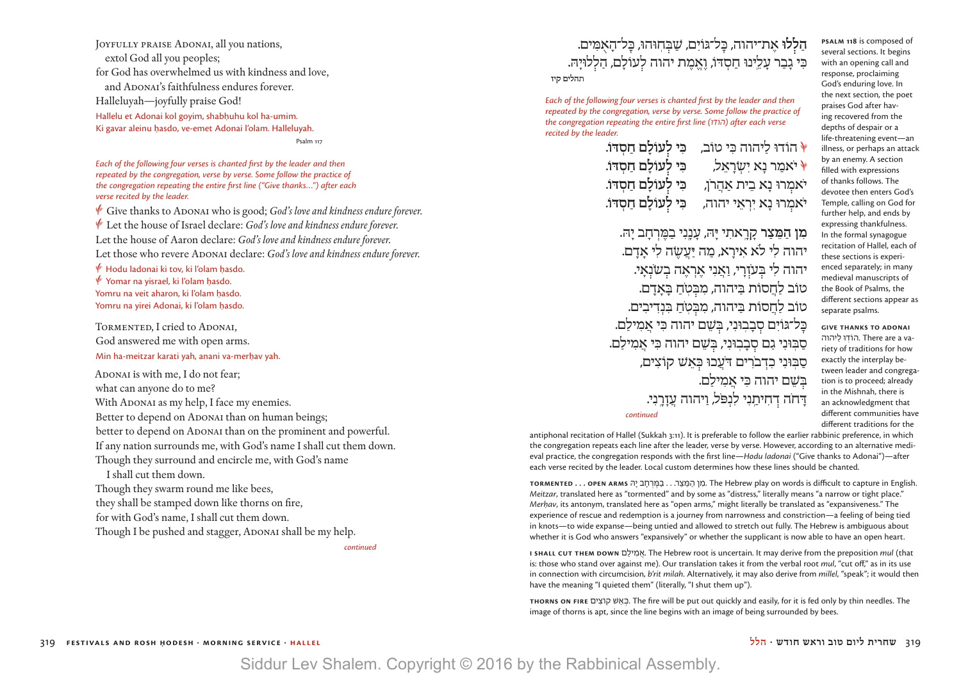JOYFULLY PRAISE ADONAI, all you nations, extol God all you peoples; for God has overwhelmed us with kindness and love, and ADONAI's faithfulness endures forever. Halleluyah—joyfully praise God! Hallelu et Adonai kol goyim, shabhuhu kol ha-umim. Ki gavar aleinu hasdo, ve-emet Adonai l'olam. Halleluyah. Psalm 117

*Each of the following four verses is chanted first by the leader and then repeated by the congregation, verse by verse. Some follow the practice of the congregation repeating the entire first line ("Give thanks…") after each verse recited by the leader.*

Give thanks to ADONAI who is good; *God's love and kindness endure forever.* D Let the house of Israel declare: *God's love and kindness endure forever.* Let the house of Aaron declare: *God's love and kindness endure forever.* Let those who revere ADONAI declare: *God's love and kindness endure forever*.

 $\mathscr V$  Hodu ladonai ki tov, ki l'olam hasdo.  $\mathscr V$  Yomar na yisrael, ki l'olam hasdo. Yomru na veit aharon, ki l'olam hasdo. Yomru na yirei Adonai, ki l'olam hasdo.

TORMENTED, I cried to ADONAI, God answered me with open arms. Min ha-meitzar karati yah, anani va-merhav yah.

ADONAI is with me, I do not fear; what can anyone do to me? With ADONAI as my help, I face my enemies. Better to depend on ADONAI than on human beings; better to depend on ADONAI than on the prominent and powerful. If any nation surrounds me, with God's name I shall cut them down. Though they surround and encircle me, with God's name I shall cut them down. Though they swarm round me like bees, they shall be stamped down like thorns on fire, for with God's name, I shall cut them down. Though I be pushed and stagger, ADONAI shall be my help.

 *continued*  $\alpha$  *continued* 

### הַ**לְלוּ אֶת־יהוה, כָּל־גּוֹיִם, שַׁבִּחְוּהוּ, כָּל־הָאָמִים.** כִּ י גָ בַ ר עָ לֵ ֽינוּ חַ סְ דּוֹ, וֶ אֱ מֶ ת יהוה ל עוֹלָ ם, הַ ל לוּיָ הּ.  **תהלים קיז**

*Each of the following four verses is chanted first by the leader and then repeated by the congregation, verse by verse. Some follow the practice of the congregation repeating the entire first line (וּ �ד�וֹה ( after each verse recited by the leader.*

> C הוֹדוּ לַ יהוה כִּ י טוֹב, **כִּ י ל עוֹלָ ם חַ סְ דּוֹ.** C ֹיאמַ ר נָ א יִ שְׂ רָ אֵ ל, **כִּ י ל עוֹלָ ם חַ סְ דּוֹ.** יֹאמִרוּ נָא בֵית אַהֲרֹן, **הֹבִי לְעוֹלַם חַסְדּוֹ.** ֹיאמ רוּ נָ א יִ רְ אֵ י יהוה, **כִּ י ל עוֹלָ ם חַ סְ דּוֹ.**

מ**ִן המַצר קראתי יּהּ, עִנני במרחב יהּ.** יהוה לי לֹא אירא. מה יִּעְשׂה לי אדם. יהוה לי בּעזרי, ואני אראה בשׂנאי. טוֹב לחסוֹת בּיהוה, מבִּטֹח בּאדם. טוֹב לחסוֹת בִּיהוה, מִבְּטֹח בַּנִדיבִים. כַּל־גּוֹיִם סִבְבִוּנִי, בּשִׁם יהוה כִּי אמילם. סַבִּוּנִי גַם סָבָבִוּני, בִּשׁם יהוה כִּי אמילם. ֹ סַ בּֽ וּנִ י כִ דְ ברִ ים דֹּעֲ כוּ כּ אֵ שׁ קוֹצִ ים, בּשׁם יהוה כִּי אמילם. **ִדְּחֹה דְּחִיתַנִי לִנְפּל, וַיהוה עֲזָרֵנִי.**<br>*continued* 

**Psalm 118** is composed of several sections. It begins with an opening call and response, proclaiming God's enduring love. In the next section, the poet praises God after having recovered from the depths of despair or a life-threatening event—an illness, or perhaps an attack by an enemy. A section filled with expressions of thanks follows. The devotee then enters God's Temple, calling on God for further help, and ends by expressing thankfulness. In the formal synagogue recitation of Hallel, each of these sections is experienced separately; in many medieval manuscripts of the Book of Psalms, the different sections appear as separate psalms.

**give thanks to adonai** יהוה ַל� וּ וֹדֽ� וֹדה . There are a variety of traditions for how exactly the interplay between leader and congregation is to proceed; already in the Mishnah, there is an acknowledgment that different communities have different traditions for the

antiphonal recitation of Hallel (Sukkah 3:11). It is preferable to follow the earlier rabbinic preference, in which the congregation repeats each line after the leader, verse by verse. However, according to an alternative medieval practice, the congregation responds with the first line—*Hodu ladonai* ("Give thanks to Adonai")—after each verse recited by the leader. Local custom determines how these lines should be chanted.

**TORMENTED . . . OPEN ARMS GIT . במרחב יה The Hebrew play on words is difficult to capture in English.** *Meitzar*, translated here as "tormented" and by some as "distress," literally means "a narrow or tight place." *Merhav*, its antonym, translated here as "open arms," might literally be translated as "expansiveness." The experience of rescue and redemption is a journey from narrowness and constriction—a feeling of being tied in knots—to wide expanse—being untied and allowed to stretch out fully. The Hebrew is ambiguous about whether it is God who answers "expansively" or whether the supplicant is now able to have an open heart.

**I SHALL CUT THEM DOWn** ם ַיל ִמ ֲא. The Hebrew root is uncertain. It may derive from the preposition *mul* (that is: those who stand over against me). Our translation takes it from the verbal root *mul*, "cut off," as in its use in connection with circumcision, *b'rit milah*. Alternatively, it may also derive from *millel*, "speak"; it would then have the meaning "I quieted them" (literally, "I shut them up").

**THORNS ON FIRE** <sub>29</sub> 
<sub>29</sub>. The fire will be put out quickly and easily, for it is fed only by thin needles. The image of thorns is apt, since the line begins with an image of being surrounded by bees.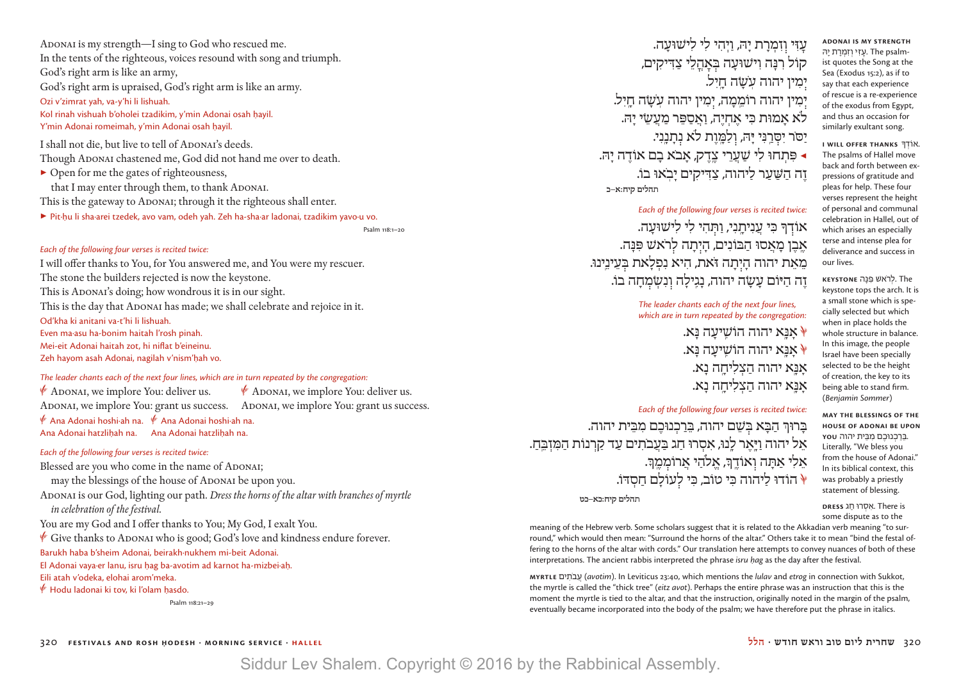ADONAI is my strength—I sing to God who rescued me. In the tents of the righteous, voices resound with song and triumph. God's right arm is like an army, God's right arm is upraised, God's right arm is like an army. Ozi v'zimrat yah, va-y'hi li lishuah. Kol rinah vishuah b'oholei tzadikim, y'min Adonai osah havil. Y'min Adonai romeimah, y'min Adonai osah havil. I shall not die, but live to tell of ADONAI's deeds.

Though ADONAI chastened me, God did not hand me over to death.

▶ Open for me the gates of righteousness, that I may enter through them, to thank ADONAI. This is the gateway to ADONAI; through it the righteous shall enter.

▶ Pit·ḥu li sha·arei tzedek, avo vam, odeh yah. Zeh ha-sha·ar ladonai, tzadikim yavo·u vo.

Psalm 118:1–20

### *Each of the following four verses is recited twice:*

I will offer thanks to You, for You answered me, and You were my rescuer. The stone the builders rejected is now the keystone. This is ADONAI's doing; how wondrous it is in our sight. This is the day that ADONAI has made; we shall celebrate and rejoice in it. Od'kha ki anitani va-t'hi li lishuah. Even ma·asu ha-bonim haitah l'rosh pinah. Mei-eit Adonai haitah zot, hi niflat b'eineinu. Zeh hayom asah Adonai, nagilah v'nism'hah vo.

### *The leader chants each of the next four lines, which are in turn repeated by the congregation:*

 $\overline{\mathscr{C}}$  Adonai, we implore You: deliver us.  $\overline{\mathscr{C}}$  Adonai, we implore You: deliver us. ADONAI, we implore You: grant us success. ADONAI, we implore You: grant us success. D Ana Adonai hoshi∙ah na. D Ana Adonai hoshi∙ah na. Ana Adonai hatzlihah na. Ana Adonai hatzlihah na.

#### *Each of the following four verses is recited twice:*

Blessed are you who come in the name of ADONAI;

may the blessings of the house of ADONAI be upon you.

ADONAI is our God, lighting our path. *Dress the horns of the altar with branches of myrtle in celebration of the festival.*

You are my God and I offer thanks to You; My God, I exalt You.

Give thanks to ADONAI who is good; God's love and kindness endure forever.

Barukh haba b'sheim Adonai, beirakh∙nukhem mi-beit Adonai. El Adonai vaya∙er lanu, isru hag ba-avotim ad karnot ha-mizbei∙ah.

Eili atah v'odeka, elohai arom'meka.

 $\mathscr V$  Hodu ladonai ki tov, ki l'olam hasdo.

Psalm 118:21–29

עַזִּי וְזִמְרַת יָהּ, וַיִּהִי לִי לִישׁוּעַה. קוֹל רִנָּה וִישׁוּעָה בְּאֲהֲלֵי צַדִּיקִים, יִמִין יהוה עֲשָׂה חֵיִל. יִמִין יהוה רוֹמֵמַה, יִמִין יהוה עַשַׂה חַיִל. ֹלא אָ מוּת כִּ י אֶ חְ יֶ ה, וַ אֲ סַ פֵּ ר מַ עֲ שֵׂ י יָ הּ. יַסֹּר יִסְרַנִּי יָּהּ, וְלַמֶּוֶת לֹא נְתָנֵנִי. ◀ ֹ פִּ תְ חוּ לִ י שַׁ עֲ רֵ י צֶ ֽדֶ ק, אָ בא בָ ם אוֹדֶ ה יָ הּ.  **תהלים קיח:א–כ** ֹ זֶ ה הַ שַּׁ עַ ר לַ יהוה, צַ דִּ יקִ ים יָ ב ֽ אוּ בוֹ.

*Each of the following four verses is recited twice:* אוֹדךָ כִּי עַנַיתני, ותּהי לי לישוּעָה. **ֹאֶבֶן מָאֲסוּ הַבּוֹנִים, הָיִתָה לְרֹא**ֹשׁ פִּנָּה. ֹ מֵ אֵ ת יהוה הָ י תָ ה זּאת, הִ יא נִ פְ לָ את בּ עֵ ינֵ ֽינוּ. זה היּוֹם עַשׂה יהוה, נגילה ונשמחה בוֹ.

> *The leader chants each of the next four lines, which are in turn repeated by the congregation:* C אָ נָּ ֽא יהוה הוֹשִֽׁ יעָ ה נָּ א.  $\lambda$ אַ אַ יהוה הוֹשִׁיעַה צ אָנָּא יהוה הַצְלִיחֲה נַא. אַ יהוה הצליחה נא.

### *Each of the following four verses is recited twice:*

בָּרוּךְ הַבָּא בִּשֵׁם יהוה, בֵּרַכְנוּכֵם מִבֵּית יהוה. ָ אֵל יהוה ויֹּאר לִנוּ, אסרוּ חג בַּעַבֹתים עַד קרנוֹת המַזִבּח. ָ אַ אַ הִ הוֹממִךְ אַ לֹהִי אַרוֹמַמֶּ הוֹדוּ לַיהוה כִּי טוֹב, כִּי לְעוֹלָם חַסְדּוֹ.<sup>4</sup>

 **תהלים קיח:כא–כט**

meaning of the Hebrew verb. Some scholars suggest that it is related to the Akkadian verb meaning "to surround," which would then mean: "Surround the horns of the altar." Others take it to mean "bind the festal offering to the horns of the altar with cords." Our translation here attempts to convey nuances of both of these interpretations. The ancient rabbis interpreted the phrase *isru hag* as the day after the festival.

**myrtle** ים ִתֹב ֲע) *avotim*). In Leviticus 23:40, which mentions the *lulav* and *etrog* in connection with Sukkot, the myrtle is called the "thick tree" (*eitz avot*). Perhaps the entire phrase was an instruction that this is the moment the myrtle is tied to the altar, and that the instruction, originally noted in the margin of the psalm, eventually became incorporated into the body of the psalm; we have therefore put the phrase in italics.

**ADONAI IS MY STRENGTH**  ist quotes the Song at the עזי וזמרת יה The psalm-Sea (Exodus 15:2), as if to say that each experience of rescue is a re-experience of the exodus from Egypt, and thus an occasion for similarly exultant song.

**I will offer thanks** ָ . וֹדא�ְוֹדך The psalms of Hallel move back and forth between expressions of gratitude and pleas for help. These four verses represent the height of personal and communal celebration in Hallel, out of which arises an especially terse and intense plea for deliverance and success in our lives.

 The .לְ שׁ רֹא� פִּפּנָּ ה **Keystone** keystone tops the arch. It is a small stone which is specially selected but which when in place holds the whole structure in balance. In this image, the people Israel have been specially selected to be the height of creation, the key to its being able to stand firm. (*Benjamin Sommer*)

**May the blessings of the house of Adonai be upon**  .בֵּ רַ כ וּ ְ נ�כֶ ם מִ בֵּ ית יהוה **you** Literally, "We bless you from the house of Adonai." In its biblical context, this was probably a priestly statement of blessing.

 is There . וּ אִ סְ ר� חַ ג **Dress** some dispute as to the

320 **festivals and rosh Ḥodesh · morning service · hallel הלל · חודש וראש טוב ליום שחרית** 320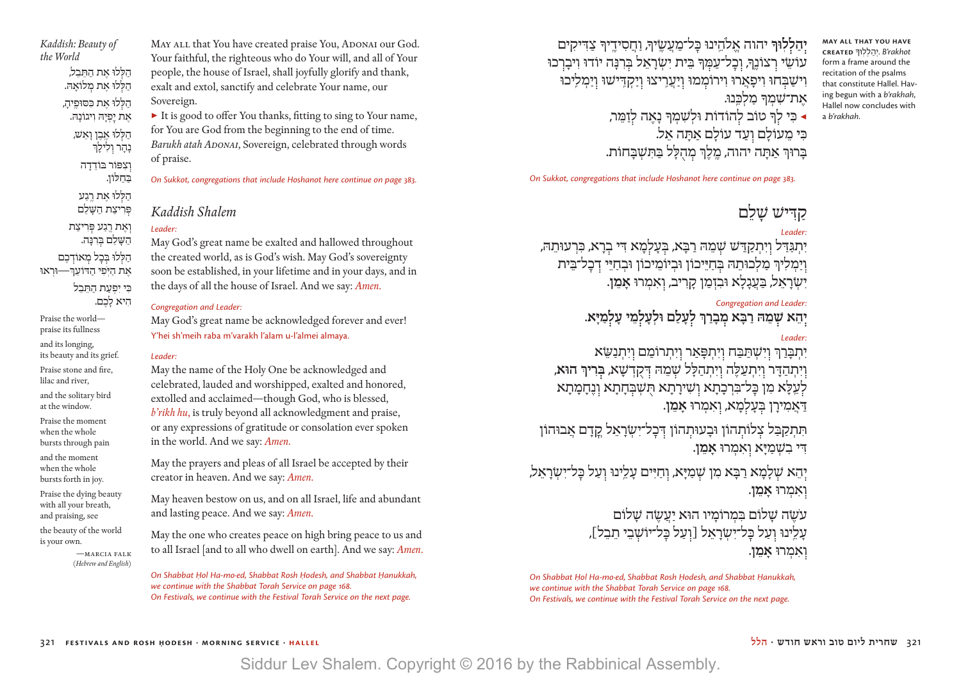*Kaddish: Beauty of the World* הַלִּלוּ אֶת הַתֲּבֵל, הַ לֹלוּ אֶת מַלוֹאֶהּ. הַלִּלוּ אֶת כִּסוּפֵיהַ, אֶת יַפְיָהּ וְיגוֹנָהּ. הַלְּלוּ אֶבֶן וָאֵ*שׁ,* נָהָר וָלִילָךְ וצפּוֹר בּוֹדדה בַּ חַ לּוֹן. הללוּ את רגע פּרִיצַת הַשַּׁלֵם וְאֵת רֵגֲע פִּרִיצַת הַ שָּׁ לֵ ם בּ רִ נָּ ה. הַלִּלוּ בִּכַל מִאוֹדְכֵם ֹ אֶ ת הַ יּ ֽ פִ י הַ דּוֹעֵ ְך—וּרְ אוּ כִּי יִפְעַת הַתְּבֵל הִיא לָכֶם.

Praise the world praise its fullness

and its longing, its beauty and its grief.

Praise stone and fire, lilac and river,

and the solitary bird at the window.

Praise the moment when the whole bursts through pain

and the moment when the whole bursts forth in joy.

Praise the dying beauty with all your breath, and praising, see

the beauty of the world is your own.

—marcia falk (*Hebrew and English*)

MAY ALL that You have created praise You, ADONAI our God. Your faithful, the righteous who do Your will, and all of Your people, the house of Israel, shall joyfully glorify and thank, exalt and extol, sanctify and celebrate Your name, our Sovereign.

▶ It is good to offer You thanks, fitting to sing to Your name, for You are God from the beginning to the end of time. *Barukh atah Adonai*, Sovereign, celebrated through words of praise.

*On Sukkot, congregations that include Hoshanot here continue on page 383.*

### *Kaddish Shalem*

### *Leader:*

May God's great name be exalted and hallowed throughout the created world, as is God's wish. May God's sovereignty soon be established, in your lifetime and in your days, and in the days of all the house of Israel. And we say: *Amen*.

### *Congregation and Leader:*

May God's great name be acknowledged forever and ever! Y'hei sh'meih raba m'varakh l'alam u-l'almei almaya.

### *Leader:*

May the name of the Holy One be acknowledged and celebrated, lauded and worshipped, exalted and honored, extolled and acclaimed—though God, who is blessed, *b'rikh hu*, is truly beyond all acknowledgment and praise, or any expressions of gratitude or consolation ever spoken in the world. And we say: *Amen*.

May the prayers and pleas of all Israel be accepted by their creator in heaven. And we say: *Amen*.

May heaven bestow on us, and on all Israel, life and abundant and lasting peace. And we say: *Amen*.

May the one who creates peace on high bring peace to us and to all Israel [and to all who dwell on earth]. And we say: *Amen*.

*On Shabbat Hol Ha-mo∙ed, Shabbat Rosh Hodesh, and Shabbat Hanukkah, we continue with the Shabbat Torah Service on page 168. On Festivals, we continue with the Festival Torah Service on the next page.*

**יִהַלְלִוּךְ יהוה אֱלֹהֵינוּ כַּל־מֲעֲשֵׂיךְ, וַחֲסִידֵיךְ צַדִּיקִים** עוֹשֵׂי רְצוֹנֵךְ, וְכָל־עַמְּךָּ בֵּיִת יִשְׂרָאֵל בְּרְנָּה יוֹדוּ וִיבָרְכוּ וִישַׁבְּחוּ וִיפָאֲרוּ וִירוֹמְמוּ וְיַעֲרֵיצוּ וְיַקְדֵּיּשוּ וְיַמִלֵיכוּ את־שַׁמַרּ מַלְכֵּנוּ. ◀ כִּ י ל ָך טוֹב ל הוֹדוֹת וּלְ שִׁ מְ ָך נָ אֶ ה ל זַ מֵּ ר, כִּי מִעוֹלִם ועד עוֹלִם אִתְּה אֵל. בַּרוּךְ אַתַּה יהוה, מֱלֵךְ מְהָלַל בַּתְּשָׁבַּחוֹת.

*On Sukkot, congregations that include Hoshanot here continue on page 383.*

## קדיש שלם

### *Leader:*

**May all that You have created** ָ *rakhot'B* . וּ יְ הַ לְ לֽ �ך form a frame around the recitation of the psalms that constitute Hallel. Having begun with a *b'rakhah*, Hallel now concludes with

a *b'rakhah*.

יִתְגַּדַּל וְיִתְקַדַּשׁ שְׁמֵהּ רַבָּא, בְּעָלְמָא דִּי בְרָא, כִּרְעוּתֵה*ּ,* וְיַמְלִיךְ מַלְכוּתֵהּ בְּחַיֵּיכוֹן וּבְיוֹמֵיכוֹן וּבְחַיֵּי דְכָל־בֵּית יִשׂרַאֵל, בַּעֲגָלַא וּבִזְמַן קָרִיב, וְאִמְרוּ **אָמֵן.** 

### *Congregation and Leader:*

**יְהֵא שְׁמֵהּ רַבְּא מִבְרַךְּ לְעָלַם וּלְעַלְמֵי עַלְמַיַּא.** 

### *Leader:*

יִתְבַּרַךְ וְיִשְׁתַּבַה וְיִתְפָּאַר וְיִתְרוֹמֵם וִיִּתְנַשֵּׂא ו יִ תְ הַ ּד ָ ר ו יִ תְ עַ ּלֶ ה ו יִ תְ הַ ּלָ ל ׁש מֵ ּה ּד קֻ דְ ׁשָ א, **ּב ר ִ יְך הּוא**, לִעֵלָּא מִן כַּל־בִּרְכָתָא וְשִׁירָתָא תְּשָׁבִּחָתָא וְנֵחָמָתָא ּד ַ אֲ מ ִ ירָ ן ּב עָ ל מָ א, ו אִ מְ רּו **אָ מֵ ן**.

תִתְקַבַּל צְלוֹתְהוֹן וּבַעוּתְהוֹן דְּכַל־יִשְׂרַאֵל קַדַם אַבוּהוֹן ּד ִ י בִ ׁש ְ מַ ּיָ א ו אִ מְ רּו **אָ מֵ ן**.

יְהֵא שְׁלָמָא רַבָּא מִן שְׁמַיַּא, וְחַיִּים עַלֵינוּ וְעַל בַּל־יִשְׂרַאֵל, ו אִ מְ רּו **אָ מֵ ן**.

> עֹשׂה שלום במרומיו הוּא יעשה שלום עלינוּ ועל כּל־ישׂראל [ועל כּל־יוֹשבי תבל], **ואמרוּ אמו.**

*On Shabbat Hol Ha-mo∙ed, Shabbat Rosh Hodesh, and Shabbat Hanukkah, we continue with the Shabbat Torah Service on page 168. On Festivals, we continue with the Festival Torah Service on the next page.*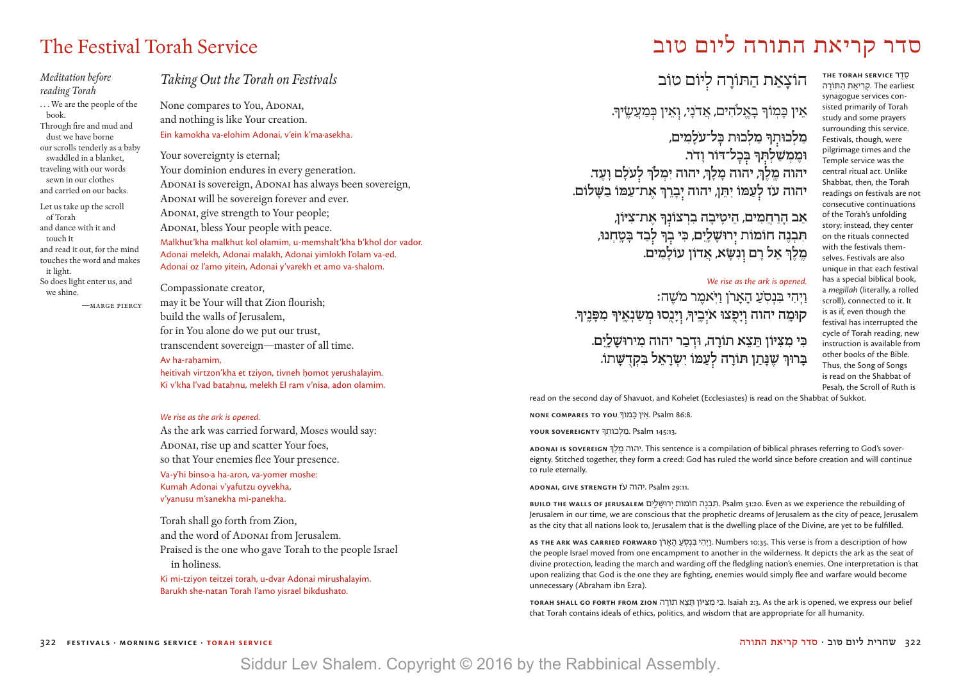### *Meditation before reading Torah*

. . . We are the people of the book. Through fire and mud and dust we have borne our scrolls tenderly as a baby swaddled in a blanket, traveling with our words sewn in our clothes and carried on our backs.

Let us take up the scroll of Torah and dance with it and touch it and read it out, for the mind touches the word and makes it light. So does light enter us, and we shine.

—marge piercy

### *Taking Out the Torah on Festivals*

None compares to You, ADONAI, and nothing is like Your creation. Ein kamokha va-elohim Adonai, v'ein k'ma·asekha.

Your sovereignty is eternal; Your dominion endures in every generation. ADONAI is sovereign, ADONAI has always been sovereign, ADONAI will be sovereign forever and ever. ADONAI, give strength to Your people; ADONAI, bless Your people with peace. Malkhut'kha malkhut kol olamim, u-memshalt'kha b'khol dor vador.

Adonai melekh, Adonai malakh, Adonai yimlokh l'olam va-ed. Adonai oz l'amo yitein, Adonai y'varekh et amo va-shalom.

### Compassionate creator,

may it be Your will that Zion flourish; build the walls of Jerusalem, for in You alone do we put our trust, transcendent sovereign—master of all time. Av ha-rahamim. heitivah virtzon'kha et tzivon, tivneh homot verushalayim. Ki v'kha l'vad batahnu, melekh El ram v'nisa, adon olamim.

#### *We rise as the ark is opened.*

As the ark was carried forward, Moses would say: ADONAI, rise up and scatter Your foes, so that Your enemies flee Your presence. Va-y'hi binso·a ha-aron, va-yomer moshe: Kumah Adonai v'yafutzu oyvekha, v'yanusu m'sanekha mi-panekha.

Torah shall go forth from Zion, and the word of ADONAI from Jerusalem. Praised is the one who gave Torah to the people Israel in holiness.

Ki mi-tziyon teitzei torah, u-dvar Adonai mirushalayim. Barukh she-natan Torah l'amo yisrael bikdushato.

# סדר קריאת התורה ליום טוב Service Torah Festival The

הוֹצָאַת הַתּוֹרָה לִיּוֹם טוֹב

אֵין כָּמְוֹךְ בָאֱלֹהִים, אֲדֹנָי, וְאֵין כְּמַעֲשֶׂיךָ.

מַלְכוּתְךָ מַלְכוּת בְּל־עֹלָמִים, וּמֶמְשַׁלְתְּךָּ בְּכְל־דּוֹר וָדֹר. יהוה מֵלֵךְ, יהוה מָלָךְ, יהוה יִמִלךְ לְעֹלָם וָעֵד. **ֹ יהוה עז ל עַ ּמֹו יִ ּתֵ ן, יהוה י בָ רֵ ְך אֶ ת־עַ ּמֹו בַ ּׁשָ לֹום.**

> **אַ ב הָ רַ חֲ מִ ים, הֵ יטִֽ יבָ ה בִ רְ צֹונ ָך אֶ ת־צִ ּיֹון,**  תִּבְנֵה חוֹמוֹת יִרוּשָׁלֵיִם, כִּי בְךָּ לְבַד בָּטֶחְנוּ, **מֶ ֽ לֶ ְך אֵ ל רָ ם ו נִ ּׂשָ א, אֲ דֹון עֹולָ מִ ים.**

### *We rise as the ark is opened.* וַיְהִי בִּנְסָעֲ הַאֲרֹן וַיֹּאמֶר מ*ֹ*שֶׁה:

**ֹ קּומָ ֽ ה יהוה ו יָ פֻ ֽצּו אי בֶ ֽיָך, ו יָ נֻ ֽסּו מ ׂשַ נְ אֶ ֽ יָך מִ ּפָ נֶ ֽיָך.**

### **ּכִ י מִ ּצִ ּיֹון ּתֵ צֵ א תֹורָ ה, ּודְ בַ ר יהוה מִ ירּוׁשָ לָ ֽיִ ם. ּבָ רּוְך ׁשֶ ּנָ תַ ן ּתֹורָ ה ל עַ ּמֹו יִ ׂשְ רָ אֵ ל ּבִ קְ דֻ ּׁשָ תֹו.**

סֵ ֽ דֶ ר **SERVICE TORAH THE** . קריאת התּוֹרה The earliest synagogue services consisted primarily of Torah study and some prayers surrounding this service. Festivals, though, were pilgrimage times and the Temple service was the central ritual act. Unlike Shabbat, then, the Torah readings on festivals are not consecutive continuations of the Torah's unfolding story; instead, they center on the rituals connected with the festivals themselves. Festivals are also unique in that each festival has a special biblical book, a *megillah* (literally, a rolled scroll), connected to it. It is as if, even though the festival has interrupted the cycle of Torah reading, new instruction is available from other books of the Bible. Thus, the Song of Songs is read on the Shabbat of Pesah, the Scroll of Ruth is

read on the second day of Shavuot, and Kohelet (Ecclesiastes) is read on the Shabbat of Sukkot.

<mark>אֵ</mark>ין בְּמְוֹךְ NONE COMPARES TO אֵין בְּמְוֹךְ. Psalm 86:8.

. Psalm 145:13. מַלְכוּתְךָ <mark>Psalm 145:13</mark>.

**Adonai is sovereign** ְ ך ֶל ֽ ֶמ יהוה. This sentence is a compilation of biblical phrases referring to God's sovereignty. Stitched together, they form a creed: God has ruled the world since before creation and will continue to rule eternally.

**Adonai, give strength** זֹע יהוה. Psalm 29:11.

**build the walls of Jerusalem** ם ִיֽ ָל ָ�רוּשׁ ְי חוֹמוֹת ה ֶנ ְב ִ תּ. Psalm 51:20. Even as we experience the rebuilding of Jerusalem in our time, we are conscious that the prophetic dreams of Jerusalem as the city of peace, Jerusalem as the city that all nations look to, Jerusalem that is the dwelling place of the Divine, are yet to be fulfilled.

**As the ark was carried forward** ןֹר ָא ָה ַעֹ ֽס ְנ ִבּ י ִה ְי ַו. Numbers 10:35. This verse is from a description of how the people Israel moved from one encampment to another in the wilderness. It depicts the ark as the seat of divine protection, leading the march and warding off the fledgling nation's enemies. One interpretation is that upon realizing that God is the one they are fighting, enemies would simply flee and warfare would become unnecessary (Abraham ibn Ezra).

**Torah shall go forth from Zion** ה ָתוֹר א ֵצ ֵתּ יּוֹן ִ צּ ִמ י ִ� ּ . Isaiah 2:3. As the ark is opened, we express our belief that Torah contains ideals of ethics, politics, and wisdom that are appropriate for all humanity.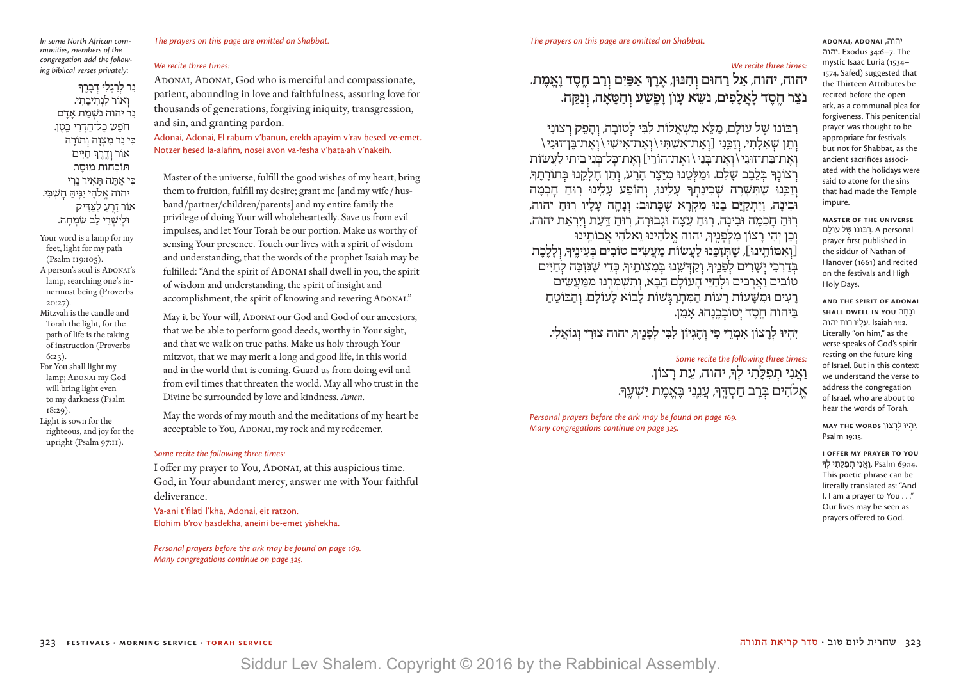### *The prayers on this page are omitted on Shabbat.*

#### *In some North African communities, members of the congregation add the following biblical verses privately:*

נֵר לִרַגְלִי דִבְרֶךְ ואוֹר לנתיבתי. נר יהוה נשמת אדם חֹפֵשׁ כַּל־חַדְרֵי בַטֶן. ּכִ י נֵ ר מִ צְ וָ ה ו תֹורָ ה אֹור ו דֶ ֽ רֶ ְך חַ ּיִ ים ּתֹוכ חֹות מּוסָ ר. ּכִ י אַ ּתָ ה ּתָ אִ יר נֵ רִ י יהוה אלהי יגיה חשבי. אֹור זָ רֻ ֽ עַ לַ ּצַ ּדִ יק וּל*ישׁרי לב שמ*חה.

Your word is a lamp for my feet, light for my path (Psalm 119:105).

- A person's soul is ADONAI's lamp, searching one's innermost being (Proverbs 20:27).
- Mitzvah is the candle and Torah the light, for the path of life is the taking of instruction (Proverbs 6:23). For You shall light my lamp; ADONAI my God
- will bring light even to my darkness (Psalm 18:29). Light is sown for the righteous, and joy for the upright (Psalm 97:11).

### *We recite three times:*

ADONAI, ADONAI, God who is merciful and compassionate, patient, abounding in love and faithfulness, assuring love for thousands of generations, forgiving iniquity, transgression, and sin, and granting pardon.

Adonai, Adonai, El rahum v'hanun, erekh apayim v'rav hesed ve-emet. Notzer hesed la-alafim, nosei avon va-fesha v'hata·ah v'nakeih.

Master of the universe, fulfill the good wishes of my heart, bring them to fruition, fulfill my desire; grant me [and my wife / husband /partner/children/parents] and my entire family the privilege of doing Your will wholeheartedly. Save us from evil impulses, and let Your Torah be our portion. Make us worthy of sensing Your presence. Touch our lives with a spirit of wisdom and understanding, that the words of the prophet Isaiah may be fulfilled: "And the spirit of ADONAI shall dwell in you, the spirit of wisdom and understanding, the spirit of insight and accomplishment, the spirit of knowing and revering ADONAI."

May it be Your will, ADONAI our God and God of our ancestors, that we be able to perform good deeds, worthy in Your sight, and that we walk on true paths. Make us holy through Your mitzvot, that we may merit a long and good life, in this world and in the world that is coming. Guard us from doing evil and from evil times that threaten the world. May all who trust in the Divine be surrounded by love and kindness. *Amen*.

May the words of my mouth and the meditations of my heart be acceptable to You, ADONAI, my rock and my redeemer.

### *Some recite the following three times:*

I offer my prayer to You, ADONAI, at this auspicious time. God, in Your abundant mercy, answer me with Your faithful deliverance.

Va-ani t'filati l'kha, Adonai, eit ratzon. Elohim b'rov hasdekha, aneini be-emet yishekha.

*Personal prayers before the ark may be found on page 169. Many congregations continue on page 325.*

### *We recite three times:*

**יהוה, יהוה, אֵ ל רַ חוּם ו חַ נּוּן, אֶ ֽ רֶ ְך אַ פַּ ֽ יִ ם ו רַ ב חֶ ֽ סֶ ד וֶ אֱ מֶ ת. ֹנצֵ ר חֶ ֽ סֶ ד לָ אֲ לָ ֹ פִ ים, נשֵׂ א עָ ֺון וָ פֶ ֽשַׁ ע ו חַ טָּ אָ ה, ו נַ קֵּ ה.**

רִבּוֹנוֹ שֶׁל עוֹלָם, מַלֵּא מִשְׁאֲלוֹת לִבִּי לְטוֹבָה, וְהַפֵּק רְצוֹנִי וְתֵן שָׁאֵלָתִי, וְזַכֵּנִי [וְאֵת־אִשָּׁתִּי \וְאֵת־אִישִׁי \וְאֵת־בֵּן־זוּגִי \ וְאֶת־בַּת־זוּגִי \ וְאֶת־בַּנִי \ וְאֵת־הוֹרַי] וְאֵת־כַּל־בִּנֵי בִיתִי לַעֲשׂוֹת רְצוֹנְךָ בִּלֵבָב שַׁלֵם. וּמַלִּטֵנוּ מִיֵּצֵר הַרַע, וְתֵן חֵלְקֵנוּ בִּתוֹרַתֵּךְ, וְזַכֵּנוּ שֵׁתִּשָׁרֵה שָׁכִינָתִךְ עָלֵינוּ, וְהוֹפַע עָלֵינוּ רִוּחַ חַכְמָה וּבִינָה, וְיִתְקַיֵּם בֵּנוּ מִקְרַא שֶׁכַּתוּב: וְנַחֲה עָלָיוּ רִוּחַ יהוה, רִוּחַ חַכְמָה וּבִינַה, רִוּחַ עֵצָה וּגִבוּרַה, רִוּחַ דַּעַת וְיִרְאַת יהוה. וכן יהי רצוֹן מלפניך, יהוה אלהינוּ ואלהי אבותינוּ [וְאִמּוֹתֵינוּ], שֵׁתְּזַכֵּנוּ לַעֲשׂוֹת מַעֲשִׂים טוֹבִים בְּעֵינֶיךָ, וְלָלֶבֶת בִּדַרְבֵי יִשָׁרִים לִפְנֵיךָּ, וְקַדְּשֵׁנוּ בִּמִצְוֹתֶיךָּ, כִּדֵי שֶׁנִּזְבֶה לְחַיִּים טוֹבִים וַאֲרִכִּים וּלְחַיֵּי הַעוֹלָם הַבָּא, וְתִשְׁמְרֵנוּ מִמַּעֲשִׂים רַעִים וּמִשָּׁעוֹת רַעוֹת הַמִּתְרַגְּשׁוֹת לָבוֹא לָעוֹלָם. וְהַבּוֹטֵחַ בַּיהוה חֶסֶד יִסוֹבְבֶנְהוּ. אָמֵן.

יִהְיוּ לְרַצוֹן אִמְרֵי פִי וְהֲגְיוֹן לִבְּי לִפְנֵיךְ, יהוה צוּרִי וְגוֹאֵלִי.

### *Some recite the following three times:* וַאֲנִי תִפְלַּתִי לִךְ, יהוה, עֵת רָצוֹן. אֱלֹהִים בְּרַב חַסְדֵּךְ, עֲנֵנְי בֵּאֲמֶת יִשָׁעֵךְ.

*Personal prayers before the ark may be found on page 169. Many congregations continue on page 325.*

**adonai, adonai** ,יהוה יהוה**.** Exodus 34:6–7. The mystic Isaac Luria (1534– 1574, Safed) suggested that the Thirteen Attributes be recited before the open ark, as a communal plea for forgiveness. This penitential prayer was thought to be appropriate for festivals but not for Shabbat, as the ancient sacrifices associated with the holidays were said to atone for the sins that had made the Temple impure.

**Master of the universe** רְבּוֹנוֹ שׁל עוֹלִם. A personal prayer first published in the siddur of Nathan of Hanover (1661) and recited on the festivals and High Holy Days.

**And the spirit of Adonai**  ונחה **SHALL DWELL IN YOU** עליו רוּח יהוה. Isaiah 11:2. Literally "on him," as the verse speaks of God's spirit resting on the future king of Israel. But in this context we understand the verse to address the congregation of Israel, who are about to hear the words of Torah.

 .יִ הְ יוּ ְ לרָ צוֹן **words the May** Psalm 19:15.

**I offer my prayer to You** ָ 14:69:14 .ואני תפלתי לה. Psalm 69 This poetic phrase can be literally translated as: "And I, I am a prayer to You . . ." Our lives may be seen as prayers offered to God.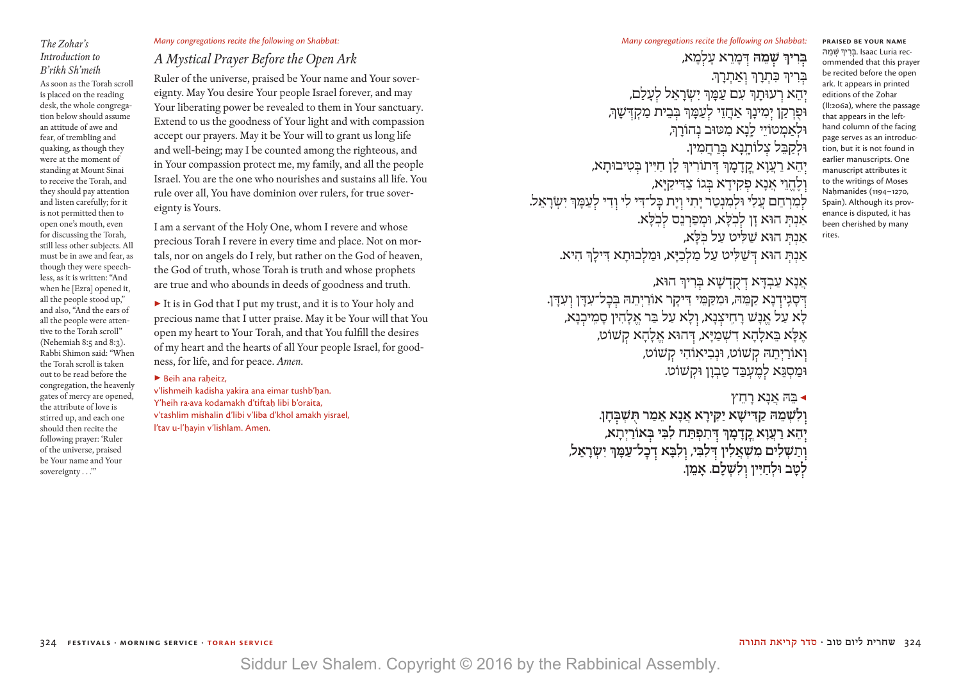### *The Zohar's Introduction to B'rikh Sh'meih*

As soon as the Torah scroll is placed on the reading desk, the whole congregation below should assume an attitude of awe and fear, of trembling and quaking, as though they were at the moment of standing at Mount Sinai to receive the Torah, and they should pay attention and listen carefully; for it is not permitted then to open one's mouth, even for discussing the Torah, still less other subjects. All must be in awe and fear, as though they were speechless, as it is written: "And when he [Ezra] opened it, all the people stood up," and also, "And the ears of all the people were attentive to the Torah scroll" (Nehemiah 8:5 and 8:3). Rabbi Shimon said: "When the Torah scroll is taken out to be read before the congregation, the heavenly gates of mercy are opened, the attribute of love is stirred up, and each one should then recite the following prayer: 'Ruler of the universe, praised be Your name and Your sovereignty . . .'"

### *Many congregations recite the following on Shabbat:*

### *A Mystical Prayer Before the Open Ark*

Ruler of the universe, praised be Your name and Your sovereignty. May You desire Your people Israel forever, and may Your liberating power be revealed to them in Your sanctuary. Extend to us the goodness of Your light and with compassion accept our prayers. May it be Your will to grant us long life and well-being; may I be counted among the righteous, and in Your compassion protect me, my family, and all the people Israel. You are the one who nourishes and sustains all life. You rule over all, You have dominion over rulers, for true sovereignty is Yours.

I am a servant of the Holy One, whom I revere and whose precious Torah I revere in every time and place. Not on mortals, nor on angels do I rely, but rather on the God of heaven, the God of truth, whose Torah is truth and whose prophets are true and who abounds in deeds of goodness and truth.

▶ It is in God that I put my trust, and it is to Your holy and precious name that I utter praise. May it be Your will that You open my heart to Your Torah, and that You fulfill the desires of my heart and the hearts of all Your people Israel, for goodness, for life, and for peace. *Amen*.

### $\blacktriangleright$  Beih ana raheitz.

v'lishmeih kadisha yakira ana eimar tushb'han. Y'heih ra·ava kodamakh d'tiftah libi b'oraita, v'tashlim mishalin d'libi v'liba d'khol amakh yisrael, l'tav u-l'hayin v'lishlam. Amen.

**ּבִרִירְ שָׁמֵה דְּכָוֹרֵא עָלְמָא,** ּבְרִיךְ כְּתְרַךְ וְאֲתְרַךְ. יְהֵא רְעוּתְוּ עִם עַמָּן יִשְׂרָאֵל לְעַלַם, וּפִרְקַן יִמְינָךְ אַחֲזֵי לְעַמָּךְ בְּבֵית מַקְדְּשָׁךְ, ּולְ אַ מְ טֹויֵ י לָ ֽנָ א מִ ּטּוב נ הֹורָ ְך, וּלקבּל צלוֹתנא בִּרחמין. יְהֵא רַעֲוָא קֲדָמָךּ דְּתוֹרִיךְ לָן חַיִּין בְּטִיבוּתָא, וְלֶהֱוֵי אֲנָא פִקִידָא בְּגוֹ צַדִּיקַיָּא, לְמִרְחָם עֲלָי וּלְמִנְטַר יַתִי וְיַת כַּל־דִי לִי וְדִי לְעֲמֵךְ יִשְׂרָאֵל. אַנִתְ הוּא זַן לִכְלַּא, וּמְפַרְנֵס לִכְלַּא. אנת הוּא שליט על כ*ּל*א, .אנת הוּא דּשׁליט על מלכיּא, וּמלכוּתא דִילוִ היא

אֲנָא עַבְדָּא דְקָדְשָׁא בְּרִיךְ הוּא, **ִּדְּהָגִידְנָא קַמֵּהּ, וּמִקַמֵּי דִּיקָר אוֹרַיְתֵה בְּבָל־עִדָּן וְעִדָּן.** לָא עַל אֱנָשׁ רַחֵיצְנָא, וְלָא עַל בַּר אֱלָהִין סַמֶּיכְנָא, אַלַא בַּאלָהַא דִשְׁמַיַּא, דְּהוּא אֱלָהָא קִשׁוֹט, ו אֹורַ יְ תֵ ּה ק ׁשֹוט, ּונְ בִ יאֽ ֹוהִ י ק ׁשֹוט, וּמִסגּא למעבד טבון וּקשׁוֹט.

> $\gamma$ בָה אֲנָא רַחֲ **ו לִ ׁשְ מֵ ּה קַ ּדִ יׁשָ א יַ ּק ִ ירָ א אֲ נָ א אֵ מַ ר ּתֻ ׁשְ ּב חָ ן.**  יהָא רַעֲוָא קַדַמַן דְּתִפְתַּח לִבְּי בְּאוֹרַיִתַא, **וְתַשְלִים מִשְאֲלִין דְּלִבִּי, וְלִבַּא דְכָל־עַמֵּךְ יִשְרָאֵל,** לטב ולחיין ולשלם. אמן.

**Praised be Your name**  ְבְּרִיךְ שְׁמֵהּ. Isaac Luria recommended that this prayer be recited before the open ark. It appears in printed editions of the Zohar (II:206a), where the passage that appears in the lefthand column of the facing page serves as an introduction, but it is not found in earlier manuscripts. One manuscript attributes it to the writings of Moses Nahmanides (1194–1270, Spain). Although its provenance is disputed, it has been cherished by many rites.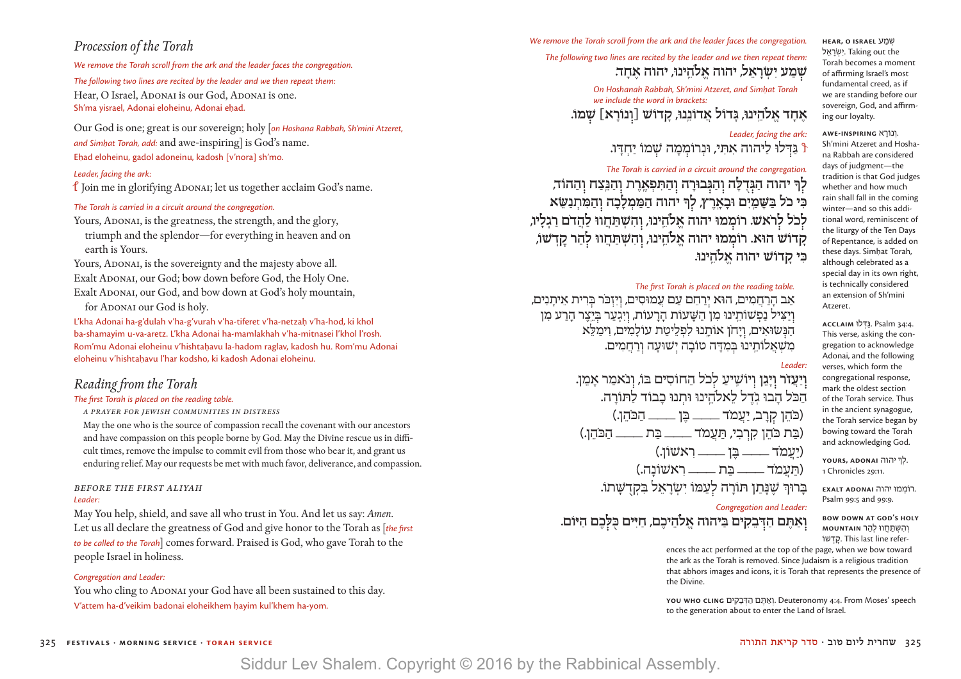### *Procession of the Torah*

*We remove the Torah scroll from the ark and the leader faces the congregation.*

*The following two lines are recited by the leader and we then repeat them:* Hear, O Israel, ADONAI is our God, ADONAI is one. Sh'ma visrael, Adonai eloheinu, Adonai ehad.

Our God is one; great is our sovereign; holy [*on Hoshana Rabbah, Sh'mini Atzeret, and Simḥat Torah, add:* and awe-inspiring] is God's name. Ehad eloheinu, gadol adoneinu, kadosh [v'nora] sh'mo.

### *Leader, facing the ark:*

 $\ell$  Join me in glorifying ADONAI; let us together acclaim God's name.

### *The Torah is carried in a circuit around the congregation.*

Yours, ADONAI, is the greatness, the strength, and the glory, triumph and the splendor—for everything in heaven and on earth is Yours.

Yours, ADONAI, is the sovereignty and the majesty above all. Exalt ADONAI, our God; bow down before God, the Holy One. Exalt ADONAI, our God, and bow down at God's holy mountain, for ADONAI our God is holy.

L'kha Adonai ha-g'dulah v'ha-g'vurah v'ha-tiferet v'ha-netzah|.| v'ha-hod, ki khol ba-shamayim u-va-aretz. L'kha Adonai ha-mamlakhah v'ha-mitnasei l'khol l'rosh. Rom'mu Adonai eloheinu v'hishtahavu la-hadom raglav, kadosh hu. Rom'mu Adonai eloheinu v'hishtahavu l'har kodsho, ki kadosh Adonai eloheinu.

### *Reading from the Torah*

### *The first Torah is placed on the reading table.*

*a prayer for jewish communities in distress*

May the one who is the source of compassion recall the covenant with our ancestors and have compassion on this people borne by God. May the Divine rescue us in difficult times, remove the impulse to commit evil from those who bear it, and grant us enduring relief. May our requests be met with much favor, deliverance, and compassion.

#### *BEFORE The first aliyah Leader:*

May You help, shield, and save all who trust in You. And let us say: *Amen*. Let us all declare the greatness of God and give honor to the Torah as [*the first to be called to the Torah*] comes forward. Praised is God, who gave Torah to the people Israel in holiness.

#### *Congregation and Leader:*

You who cling to ADONAI your God have all been sustained to this day. V'attem ha-d'veikim badonai eloheikhem hayim kul'khem ha-yom.

*We remove the Torah scroll from the ark and the leader faces the congregation.*

### *The following two lines are recited by the leader and we then repeat them:* **ׁש מַ ע יִ ׂשְ רָ אֵ ל, יהוה אֱ ֹלהֵ ֽ ינּו, יהוה אֶ חָ ד.**

**On Hoshanah Rabbah, Sh'mini Atzeret, and Simhat Torah** *we include the word in brackets:*

**אֶ חָ ד אֱ ֹלהֵ ֽ ינּו, ּגָ דֹול אֲ דֹונֵ ֽנּו, קָ דֹוׁש ]ו נֹורָ א[ ׁש מֹו.**

#### *Leader, facing the ark:* .וְ נוֹרָ א **inspiring-Awe** Sh'mini Atzeret and Hosha-

שׁ� ְ מַ ע **Israel O ,Hear** ישׂ ראל. Taking out the Torah becomes a moment of affirming Israel's most fundamental creed, as if we are standing before our sovereign, God, and affirm-

ing our loyalty.

Atzeret.

na Rabbah are considered days of judgment—the tradition is that God judges whether and how much rain shall fall in the coming winter—and so this additional word, reminiscent of the liturgy of the Ten Days of Repentance, is added on these days. Simhat Torah, although celebrated as a special day in its own right, is technically considered an extension of Sh'mini

 34:4. Psalm ַּ.�דּ ְ לוּ **Acclaim** This verse, asking the congregation to acknowledge Adonai, and the following verses, which form the congregational response, mark the oldest section of the Torah service. Thus in the ancient synagogue, the Torah service began by bowing toward the Torah and acknowledging God. .<br>לְךְּ יהוה **YOURS, ADONA**i 1 Chronicles 29:11.

 $\,$  גדלו ליהוה אתי, וּנרוֹממה שמוֹ יחדו.  $\,$ 

#### *The Torah is carried in a circuit around the congregation.*

לִךּ יהוה הַגִּדְלַה והַגְּבוּרָה וְהַתְּפָאָרֶת וְהַנֵּצַח וְהַהוֹד, כִּי כל בַּשַּמַיִם וּבַאַרִץ, לךְ יהוה הַמַּמְלָכָה והַמִּת*ְנַש*ֹא **ֹלְכֹל לְרֹאשׁ. רוֹמְמוּ יהוה אֱלֹהֵינוּ, וְהִשְׁתַּחֲווּ לַחֲדֹם רַגְלִיוּ, קָ דֹוׁש הּוא. רֹומ מּו יהוה אֱ ֹלהֵ ֽ ינּו, ו הִ ׁשְ ּתַ חֲ וּו ל הַ ר קׇ דְ ׁשֹו, ּכִ י קָ דֹוׁש יהוה אֱ ֹלהֵ ֽ ינּו.**

### *The first Torah is placed on the reading table.*

ֹ אַ ב הָ רַ חֲ מִ ים, הּוא י רַ חֵ ם עַ ם עֲ מּוסִ ים, ו יִ זְ ּכר ּב רִ ית אֵ יתָ נִ ים, וְיַצִיל נַפְשׁוֹתֵינוּ מִן הַשָּׁעוֹת הַרַעוֹת, וִיִגְעַר בְּיֵצֵר הַרַע מִן הַנְשׂוּאִים, וְיַחן אוֹתֲנוּ לִפְלֵיטַת עוֹלָמִים, וימִלֹּא מִשָׁאֲלוֹתֵינוּ בִּמְדַּה טוֹבָה יִשׁוּעַה וְרַחֲמִים.

### *Leader:*

**ויעזר ויגן** ויוֹשיע לכל החוסים בּוֹ, ונאמר אמן. הכל הבו גדל לאלהינו וּתנוּ כבוד לתורה. ֹ )ּכהֵ ן ק רָ ב, יַ עֲ מֹד \_\_\_ ּבֶ ן \_\_\_ ֹ הַ ּכהֵ ן.( (בִת כֹּהוֹ קרבי, תּעמֹד \_\_\_\_ בַּת \_\_\_\_ הכֹּהוּ.) )יַ עֲ מֹד \_\_\_ ּבֶ ן \_\_\_ רִ אׁשֹון.( )ּתַ עֲ מֹד \_\_\_ ּבַ ת \_\_\_ רִ אׁשֹונָ ה.( ָ בִּרוּךְ שַׁנַּתן תּוֹרה לעַמוֹ יִשׂראל בַּקְדֹשַׁתוֹ.

#### *Congregation and Leader:* ואתם הדבקים בּיהוה אלהיכם, חיים כּלכם היּוֹם. Psalm 99:5 and 99:9.

**bow down at God's holy**  וְ שׁ ְהִ �תַּ חֲ ווּ ְ להַ ר **mountain** וֹ �ְד ׇשׁק . This last line refer-

. ֹרו ְמ ּמו יהוה **Adonai Exalt**

ences the act performed at the top of the page, when we bow toward the ark as the Torah is removed. Since Judaism is a religious tradition that abhors images and icons, it is Torah that represents the presence of the Divine.

 speech' Moses From 4:4. Deuteronomy .וְ אַ תֶּ ם הַ דּ ְ בֵ קִ ים **cling who You** to the generation about to enter the Land of Israel.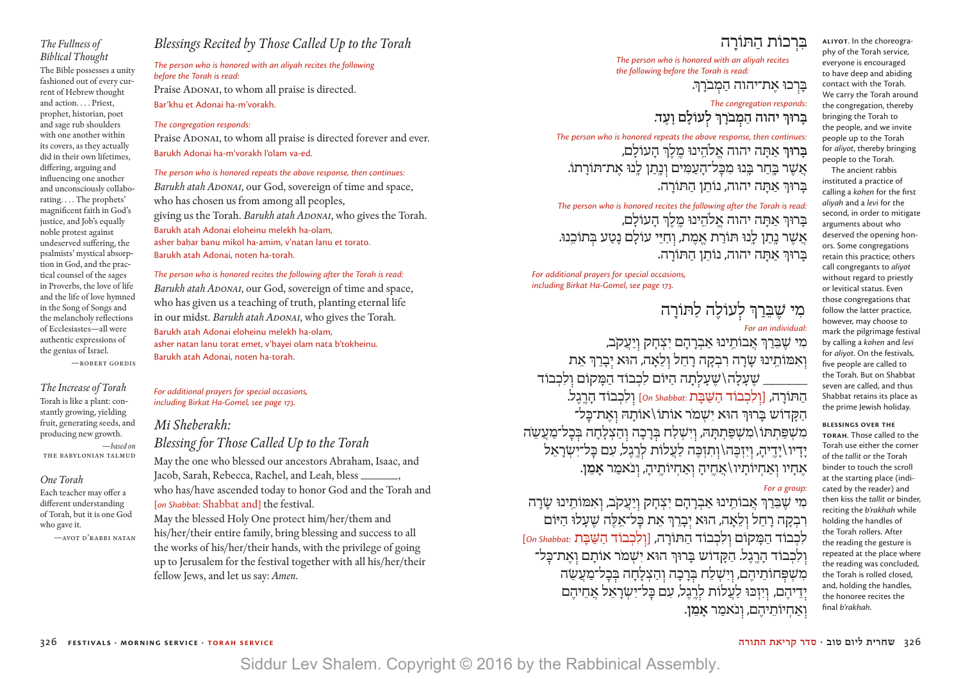### *The Fullness of Biblical Thought*

The Bible possesses a unity fashioned out of every current of Hebrew thought and action. . . . Priest, prophet, historian, poet and sage rub shoulders with one another within its covers, as they actually did in their own lifetimes, differing, arguing and influencing one another and unconsciously collaborating. . . . The prophets' magnificent faith in God's justice, and Job's equally noble protest against undeserved suffering, the psalmists' mystical absorption in God, and the practical counsel of the sages in Proverbs, the love of life and the life of love hymned in the Song of Songs and the melancholy reflections of Ecclesiastes—all were authentic expressions of the genius of Israel.

—Robert Gordis

*The Increase of Torah* Torah is like a plant: constantly growing, yielding fruit, generating seeds, and producing new growth. —*based on*

the Babylonian Talmud

### *One Torah*

Each teacher may offer a different understanding of Torah, but it is one God who gave it.

—Avot D'Rabbi Natan

### *Blessings Recited by Those Called Up to the Torah*

*The person who is honored with an aliyah recites the following before the Torah is read:* Praise ADONAI, to whom all praise is directed. Bar'khu et Adonai ha-m'vorakh.

#### *The congregation responds:*

Praise ADONAI, to whom all praise is directed forever and ever. Barukh Adonai ha-m'vorakh l'olam va-ed.

*The person who is honored repeats the above response, then continues: Barukh atah ADONAI*, our God, sovereign of time and space, who has chosen us from among all peoples, giving us the Torah. *Barukh atah ADONAI*, who gives the Torah. Barukh atah Adonai eloheinu melekh ha-olam, asher bahar banu mikol ha-amim, v'natan lanu et torato. Barukh atah Adonai, noten ha-torah.

*The person who is honored recites the following after the Torah is read: Barukh atah ADONAI*, our God, sovereign of time and space, who has given us a teaching of truth, planting eternal life in our midst. *Barukh atah ADONAI*, who gives the Torah. Barukh atah Adonai eloheinu melekh ha-olam, asher natan lanu torat emet, v'hayei olam nata b'tokheinu. Barukh atah Adonai, noten ha-torah.

*For additional prayers for special occasions, including Birkat Ha-Gomel, see page 173.*

### *Mi Sheberakh:*

*Blessing for Those Called Up to the Torah*

May the one who blessed our ancestors Abraham, Isaac, and Jacob, Sarah, Rebecca, Rachel, and Leah, bless \_\_\_\_\_\_\_, who has/have ascended today to honor God and the Torah and [*on Shabbat:* Shabbat and] the festival. May the blessed Holy One protect him/her/them and

his/her/their entire family, bring blessing and success to all the works of his/her/their hands, with the privilege of going up to Jerusalem for the festival together with all his/her/their fellow Jews, and let us say: *Amen*.

### בּרכוֹת התּוֹרה

*The person who is honored with an aliyah recites the following before the Torah is read:*

ַבְּרְכוּ אֶת־יהוה הַמְבֹרַךְ.

*The congregation responds:* **ֹ ּבָ רּוְך יהוה הַ מ ברָ ְך ל עֹולָ ם וָ עֶ ד.**

*The person who is honored repeats the above response, then continues:* **ַבְרוּךְ אַתָּה יהוה אֵלֹהֵינוּ מלֹךְ העוֹלִם,** אֲשֶׁר בַּחַר בָּנוּ מִכָּל־הָעַמִּים וְנָתַן לָנוּ אֶת־תּוֹרָתוֹ. ּבָ רּוְך אַ ּתָ ה יהוה, נֹותֵ ן הַ ּתֹורָ ה.

*The person who is honored recites the following after the Torah is read:* ּבָרוּךְ אַתָה יהוה אֱלֹהֵינוּ מֵלֵךְ הָעוֹלָם, אַשר נתן לנוּ תּוֹרת אמת, וחיי עולם נטע בַתוֹכנוּ. ּבָ רּוְך אַ ּתָ ה יהוה, נֹותֵ ן הַ ּתֹורָ ה.

*For additional prayers for special occasions, including Birkat Ha-Gomel, see page 173.*

## מִי שֶׁבֵּרַךְ לְעוֹלֶה לַתּוֹרָה

### *For an individual:*

מִי שַׁבֵּרךְ אַבוֹתִינוּ אַברהם יצחק ויעקב, וְאִמּוֹתֵינוּ שָׂרָה רִבְקָה רָחֵל וְלֵאָה, הוּא יִבָרֵךְ אֵת שֶׁ עַלָה \שֶׁ עָלָתה היּוֹם לִכְבוֹד הַמָּקוֹם וְלִכְבוֹד הַ תּוֹרָ ה, [ו לִ כְ בוֹד הַ שַּׁ בָּ ת *:Shabbat On* [ו לִ כְ בוֹד הָ רֶ ֽ גֶ ל. הַ הַ הַ הַ הוּא יִשׁמֹר אוֹתוֹ\ אוֹתה האת־כּל־ מִשְׁפַּתִתּוֹ\מִשְׁפַּתִתַּהּ, וְיִשְׁלַח בְּרָכָה וְהַצְלָחָה בְּכָל־מַעֲשֶׂה ידיו\ידיה, ויזכּה\ותזכּה לעלוֹת לרגל, עם כּל־ישׂראל אֶחָיו וְאֲחִיוֹתַיו / אֶחֱיהַ וְאַחִיוֹתֵיהַ, וְנֹאמַר **אַמֵן**.

### *For a group:*

מִי שֶׁבֵּרַךְ אֲבוֹתֵינוּ אַבְרַהַם יִצְחָק וְיַעֲקֹב, וְאִמּוֹתֵינוּ שַׂרַה רִבְקָה רָחֵל וְלֵאָה, הוּא יִבָרֵךְ אֵת כַּל־אֵלֵה שֵׁעָלוּ הַיּוֹם לִכְבוֹד הַמַּקוֹם וְלִכְבוֹד הַתּוֹרָה, [וְלִכְבוֹד הַשַּׁבָּת :on Shabbat: וְלִכְבוֹד הַרֱגֵל. הַקָּדוֹש בַּרוּךְ הוּא יִשְׁמֹר אוֹתַם וְאֶת־כַּל־ מִשָׁפָּחוֹתֵיהֶם, וְיִשְׁלַח בְּרָכָה וְהַצְלָחָה בְּכָל־מַעֲשֶׂה י דִיהֶם, וִיזְכּוּ לַעֲלוֹת לְרֵגֶל, עִם כָּל־יִשְׂרָאֵל אֲחֵיהֶם ֹ ו אַ חְ יֹותֵ יהֶ ם, ו נאמַ ר **אָ מֵ ן**.

**ALIYOT**. In the choreography of the Torah service, everyone is encouraged to have deep and abiding contact with the Torah. We carry the Torah around the congregation, thereby bringing the Torah to the people, and we invite people up to the Torah for *aliyot*, thereby bringing people to the Torah.

The ancient rabbis instituted a practice of calling a *kohen* for the first *aliyah* and a *levi* for the second, in order to mitigate arguments about who deserved the opening honors. Some congregations retain this practice; others call congregants to *aliyot* without regard to priestly or levitical status. Even those congregations that follow the latter practice, however, may choose to mark the pilgrimage festival by calling a *kohen* and *levi* for *aliyot*. On the festivals, five people are called to the Torah. But on Shabbat seven are called, and thus Shabbat retains its place as the prime Jewish holiday.

#### **Blessings over the**

**Torah**. Those called to the Torah use either the corner of the *tallit* or the Torah binder to touch the scroll at the starting place (indicated by the reader) and then kiss the *tallit* or binder, reciting the *b'rakhah* while holding the handles of the Torah rollers. After the reading the gesture is repeated at the place where the reading was concluded, the Torah is rolled closed, and, holding the handles, the honoree recites the final *b'rakhah*.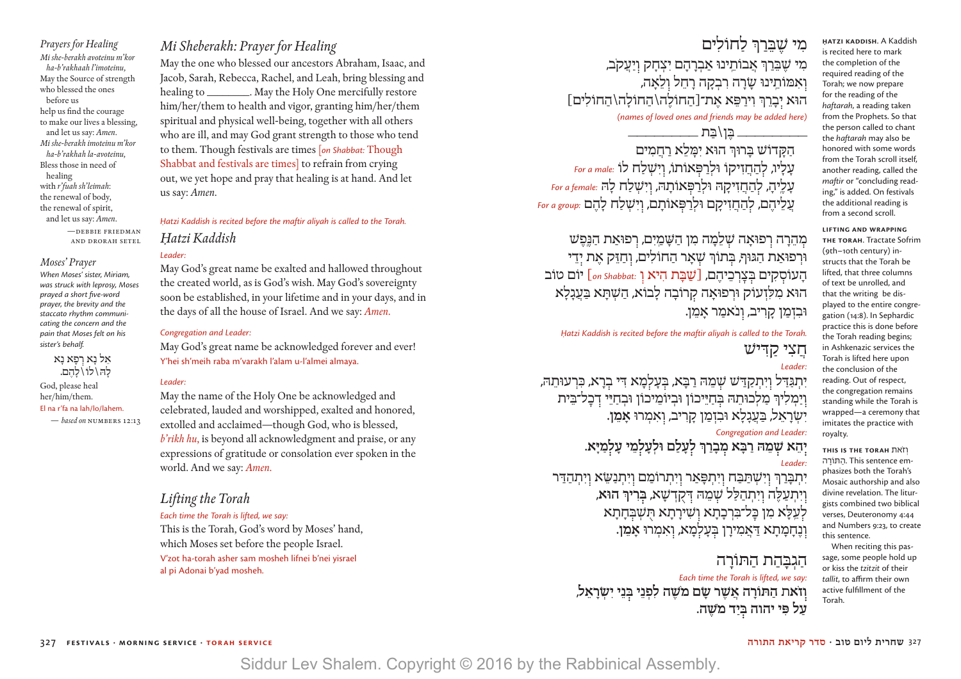*Prayers for Healing Mi she-berakh avoteinu m'kor ha-b'rakhaah l'imoteinu,* May the Source of strength who blessed the ones before us help us find the courage to make our lives a blessing, and let us say: *Amen*. *Mi she-berakh imoteinu m'kor ha-b'rakhah la-avoteinu,* Bless those in need of healing with *r'fuah sh'leimah*: the renewal of body, the renewal of spirit, and let us say: *Amen*.

> —Debbie Friedman and drorah setel

#### *Moses' Prayer*

*When Moses' sister, Miriam, was struck with leprosy, Moses prayed a short five-word prayer, the brevity and the staccato rhythm communicating the concern and the pain that Moses felt on his sister's behalf.*

> אַל נא רפא נא לה \ לוֹ \ להם.

God, please heal her/him/them. El na r'fa na lah/lo/lahem. — *based on* numbers 12:13

*Mi Sheberakh: Prayer for Healing*

May the one who blessed our ancestors Abraham, Isaac, and Jacob, Sarah, Rebecca, Rachel, and Leah, bring blessing and healing to \_\_\_\_\_\_\_\_\_. May the Holy One mercifully restore him/her/them to health and vigor, granting him/her/them spiritual and physical well-being, together with all others who are ill, and may God grant strength to those who tend to them. Though festivals are times [*on Shabbat:* Though Shabbat and festivals are times] to refrain from crying out, we yet hope and pray that healing is at hand. And let us say: *Amen*.

*Ḥatzi Kaddish is recited before the maftir aliyah is called to the Torah. Ḥatzi Kaddish*

### *Leader:*

May God's great name be exalted and hallowed throughout the created world, as is God's wish. May God's sovereignty soon be established, in your lifetime and in your days, and in the days of all the house of Israel. And we say: *Amen*.

### *Congregation and Leader:*

May God's great name be acknowledged forever and ever! Y'hei sh'meih raba m'varakh l'alam u-l'almei almaya.

#### *Leader:*

May the name of the Holy One be acknowledged and celebrated, lauded and worshipped, exalted and honored, extolled and acclaimed—though God, who is blessed, *b'rikh hu*, is beyond all acknowledgment and praise, or any expressions of gratitude or consolation ever spoken in the world. And we say: *Amen*.

### *Lifting the Torah*

*Each time the Torah is lifted, we say:* This is the Torah, God's word by Moses' hand, which Moses set before the people Israel. V'zot ha-torah asher sam mosheh lifnei b'nei yisrael al pi Adonai b'yad mosheh.

מ*י שבּר*ּר לחוֹלים ֹ מִ י ׁשֶ ּבֵ רַ ְך אֲ בֹותֵ ֽ ינּו אַ בְ רָ הָ ם יִ צְ חָ ק ו יַ עֲ קב, וְאִמּוֹתֵינוּ שָׂרָה רִבְקָה רָחֵל וְלֵאַה, הוּא יְבָרֵךְ וִירַפֵּא אֶת־[הַחוֹלֶה\הַחוֹלְה\הַחוֹלִים]<br>(names of loved ones and friends may be added here)

\_\_\_\_\_\_\_\_ ּבֶ ן\ּבַ ת \_\_\_\_\_\_\_\_

הקדוֹש בּרוּךְ הוּא יִמַלֹא רחמים עָ לָ יו, ל הַ חֲ זִ יקֹו ּולְ רַ ּפ אֹותֹו, ו יִ ׁשְ לַ ח לֹו *:male a For* עַלֵיהַ, להַחֲזִיקָהּ וּלְרַפְּאוֹתָהּ, וְיִּשְׁלַח לַהּ for a female: עֲ עֲ לֵ יהֶ ם, ל הַ חֲ זִ יקָ ם ּולְ רַ ּפ אֹותָ ם, ו יִ ׁשְ לַ ח לָ הֶ ם *:group a For*

מהרה רפוּאה שלמה מן השמים, רפוּאת הנּפּש וּרְפוּאַת הַגּוּף, בְּתוֹךְ שָׁאָר הַחוֹלִים, וְחַזֵּק אֵת יְדֵי הָ עֹוס קִ ים ּב צׇ רְ כֵ יהֶ ם, ]ַשׁבָּ ת הִ יא ו *:Shabbat on* [יוֹם טוֹב הוּא מִלְזְעוֹק וּרְפוּאָה קִרוֹבָה לָבוֹא, הַשִׁתָּא בַּעֲגָלָא וּבִזְמַן קָרִיב, וְנֹאמַר אָמֶן.

*Ḥatzi Kaddish is recited before the maftir aliyah is called to the Torah.* חצי קדיש

#### *Leader:*

יִתְגַּדִּל וְיִתְקַדַּ*'ש שְׁ*מֵהּ רַבָּא, בִּעָלְמָא דִּי בִרָא, כִּרְעוּתֵהּ, וְיַמְלִיךְ מַלְכוּתֵהּ בְּחַיֵּיכוֹן וּבְיוֹמֵיכוֹן וּבְחַיֵּי דְּכָל־בֵּית יִ שׂ ְ רָ אֵ ל, בַּ עֲ גָ לָ א וּבִ זְ מַ ן קָ רִ יב, ו א ִ מְ רוּ **אָ מֵ ן**.

*Congregation and Leader:*

**י הֵ א שׁ מֵ הּ רַ בָּ א מ בָ רַ ְך ל עָ לַ ם וּלְ עָ ל מֵ י עָ ל מַ ָיּא.**

*Leader:* יִתְבַּרַךְ וְיִשְׁתַּבַּה וְיִתְפָּאַר וְיִתְרוֹמַם וְיִתְנַשֵּׂא וְיִתְהַדִּר ו יִ תְ עַ לֶּ ה ו יִ תְ הַ לַּ ל שׁ מֵ הּ דּקֻ דְ שָׁ א, **בּ רִ יְך הוּא**, לִעֲלָא מִן כַּל־בִּרְכָתָא וְשִׁירָתָא תִּשְׁבִּחָתָא ו נֶ חָ מ ָ תָ א דּ ַ אֲ מִ ירָ ן בּ עָ ל מָ א, ו אִ מְ רוּ **אָ מֵ ן**.

> הגבהת התּוֹרה *Each time the Torah is lifted, we say:* **ֹשֶׁ ה לִ פְ נֵ י בּ נֵ י יִ שׂ ְ רָ אֵ ל, ו ֹ זאת הַ תּוֹרָ ה אֲ שֶׁ ר שָׂ ם מ** עַל פִּי יהוה בְּיַד מ*שֶׁ*ה.

**H|.|atzi Kaddish**. A Kaddish is recited here to mark the completion of the required reading of the Torah; we now prepare for the reading of the *haftarah*, a reading taken from the Prophets. So that the person called to chant the *haftarah* may also be honored with some words from the Torah scroll itself, another reading, called the *maftir* or "concluding reading," is added. On festivals the additional reading is from a second scroll.

**Lifting and Wrapping the Torah**. Tractate Sofrim (9th–10th century) instructs that the Torah be lifted, that three columns of text be unrolled, and that the writing be displayed to the entire congregation (14:8). In Sephardic practice this is done before the Torah reading begins; in Ashkenazic services the Torah is lifted here upon the conclusion of the reading. Out of respect, the congregation remains standing while the Torah is wrapped—a ceremony that imitates the practice with royalty.

**This is the Torah** אתֹז ְו התוֹרה. This sentence emphasizes both the Torah's Mosaic authorship and also divine revelation. The liturgists combined two biblical verses, Deuteronomy 4:44 and Numbers 9:23, to create this sentence.

When reciting this passage, some people hold up or kiss the *tzitzit* of their *tallit*, to affirm their own active fulfillment of the Torah.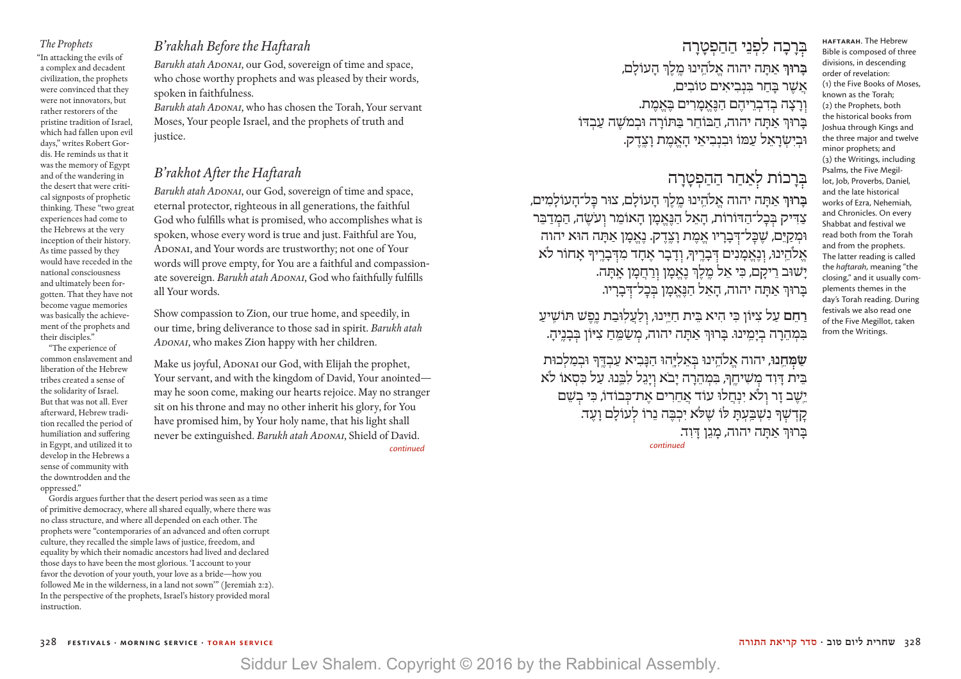*The Prophets* "In attacking the evils of a complex and decadent civilization, the prophets were convinced that they were not innovators, but rather restorers of the pristine tradition of Israel, which had fallen upon evil days," writes Robert Gordis. He reminds us that it was the memory of Egypt and of the wandering in the desert that were critical signposts of prophetic thinking. These "two great experiences had come to the Hebrews at the very inception of their history. As time passed by they would have receded in the national consciousness and ultimately been forgotten. That they have not become vague memories was basically the achievement of the prophets and their disciples."

 "The experience of common enslavement and liberation of the Hebrew tribes created a sense of the solidarity of Israel. But that was not all. Ever afterward, Hebrew tradition recalled the period of humiliation and suffering in Egypt, and utilized it to develop in the Hebrews a sense of community with the downtrodden and the oppressed."

### *B'rakhah Before the Haftarah*

*Barukh atah Adonai*, our God, sovereign of time and space, who chose worthy prophets and was pleased by their words, spoken in faithfulness.

*Barukh atah Adonai*, who has chosen the Torah, Your servant Moses, Your people Israel, and the prophets of truth and justice.

### *B'rakhot After the Haftarah*

*Barukh atah Adonai*, our God, sovereign of time and space, eternal protector, righteous in all generations, the faithful God who fulfills what is promised, who accomplishes what is spoken, whose every word is true and just. Faithful are You, ADONAI, and Your words are trustworthy; not one of Your words will prove empty, for You are a faithful and compassionate sovereign. *Barukh atah ADONAI*, God who faithfully fulfills all Your words.

Show compassion to Zion, our true home, and speedily, in our time, bring deliverance to those sad in spirit. *Barukh atah Adonai*, who makes Zion happy with her children.

Make us joyful, ADONAI our God, with Elijah the prophet, Your servant, and with the kingdom of David, Your anointed may he soon come, making our hearts rejoice. May no stranger sit on his throne and may no other inherit his glory, for You have promised him, by Your holy name, that his light shall never be extinguished. *Barukh atah Adonai*, Shield of David.  *continued*

 Gordis argues further that the desert period was seen as a time of primitive democracy, where all shared equally, where there was no class structure, and where all depended on each other. The prophets were "contemporaries of an advanced and often corrupt culture, they recalled the simple laws of justice, freedom, and equality by which their nomadic ancestors had lived and declared those days to have been the most glorious. 'I account to your favor the devotion of your youth, your love as a bride—how you followed Me in the wilderness, in a land not sown" (Jeremiah 2:2). In the perspective of the prophets, Israel's history provided moral instruction.

ּבְרָכָה לִפְנֵי הַהַפְטָרָה **ּבָרוּךְ אַתָּה יהוה אֱלֹהֵינוּ מֵלֵךְ הַעוֹלִם,** <u>אֲשֶׁ</u>ר בַּחַר בִּנְבִיאִים טוֹבִים, וְרָצָה בְדִבְרִיהֵם הַנֶּאֱמַרִים בָּאֱמֶת. יברוּך אתה יהוה, הבּוֹחר בּתּוֹרה וּבמֹשה עַבדּוֹ ּוּבִיִשְׂרָאֵל עַמּוֹ וּבִנְבִיאֵי הָאֵמֶת וָצֶדֶק.

## ּבִּרָכוֹת לְאַחַר הַהַפְטָרָה

בָרוּךְ אַתָה יהוה אֱלֹהֵינוּ מֶלֶךְ הָעוֹלָם, צוּר כָּל־הָעוֹלָמִים, צַדִּיק בְּכָל־הַדּוֹרוֹת, הָאֵל הַנֶּאֱמָן הָאוֹמֵר וְעֹשֶׂה, הַמְדַבֵּר וּמִקַיֵּם, שֶׁבָּל־דְּבָרָיו אֱמֶת וָצֶדֶק. נֶאֱמֶן אַתָּה הוּא יהוה אֶלֹהֵינוּ, וְנֶאֱמָנִים דְּבָרֶיךָ, וְדָבָר אֶחָד מִדִּבְרֶיךָ אָחוֹר לֹא יָשׁוּב רֵיקָם, כִּי אֵל מֵלֵךְ נֵאֱמָן וְרַחֲמָן אֲתָה. ּבָרוּךְ אַתָּה יהוה, הָאֵל הַבֶּאֱמָן בְּבָל־דְּבָרָיו.

**HAFTARAH**. The Hebrew Bible is composed of three divisions, in descending order of revelation: (1) the Five Books of Moses, known as the Torah; (2) the Prophets, both the historical books from Joshua through Kings and the three major and twelve minor prophets; and (3) the Writings, including Psalms, the Five Megillot, Job, Proverbs, Daniel, and the late historical works of Ezra, Nehemiah, and Chronicles. On every Shabbat and festival we read both from the Torah and from the prophets. The latter reading is called the *haftarah*, meaning "the closing," and it usually complements themes in the day's Torah reading. During festivals we also read one of the Five Megillot, taken from the Writings.

**רַחֵם** עַל צִיּוֹן כִּי הִיא בֵּית חַיֵּינוּ, וְלַעֲלִוּבַת נֵכֵּשׁ תּוֹשִׁיעַ בִּמְהֵרָה בְיָמֵינוּ. בָּרוּךְ אַתָּה יהוה, מְשַׂמֵּחַ צִיּוֹן בְּבָנֵיהָ.

ְשַ**ֹּמְחֵנוּ, יהוה אֱלֹהֵינוּ בְּאֵלְיַּהוּ הַנַּבִיא עַבְדֵּךְ וּבְמַלְכוּת** ָבִית דוד משיחך, במהרה יבא ויגל לבנו. על כּסאו לא יֵשֶׁב זַר וְלֹא יִנְחֲלוּ עוֹד אֲחֵרִים אֲת־כְּבוֹדוֹ, כִּי בְשֵׁם קַדְשָׁרּ נִשְׁבֵעָתַ לוֹ שֵלֹּא יִכְבֶה נֵרוֹ לְעוֹלָם וָעֶד. **ּבְרוּךְ אַתָּה יהוה, מָגֵן דָיִד.**<br>continued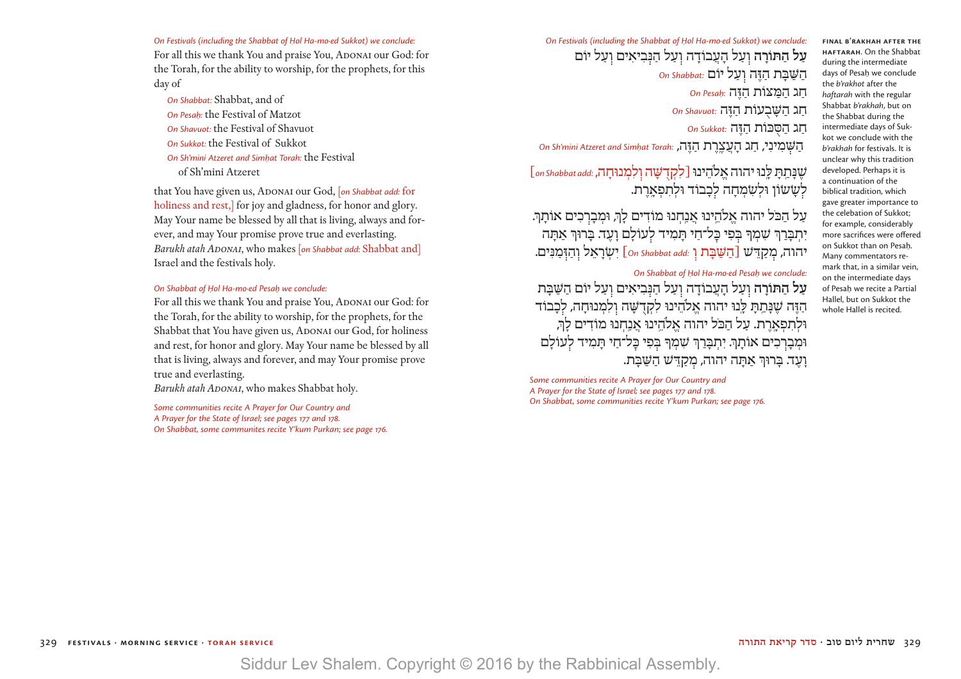**On Festivals (including the Shabbat of Hol Ha-mo-ed Sukkot) we conclude:** For all this we thank You and praise You, ADONAI our God: for the Torah, for the ability to worship, for the prophets, for this day of

*On Shabbat:* Shabbat, and of *On Pesaḥ:* the Festival of Matzot *On Shavuot:* the Festival of Shavuot *On Sukkot:* the Festival of Sukkot *On Sh'mini Atzeret and Simhat Torah: the Festival* of Sh'mini Atzeret

that You have given us, ADONAI our God, [*on Shabbat add:* for holiness and rest, for joy and gladness, for honor and glory. May Your name be blessed by all that is living, always and forever, and may Your promise prove true and everlasting. *Barukh atah ADONAI*, who makes [*on Shabbat add:* Shabbat and] Israel and the festivals holy.

### On Shabbat of Hol Ha-mo<sub>·</sub>ed Pesah we conclude:

For all this we thank You and praise You, ADONAI our God: for the Torah, for the ability to worship, for the prophets, for the Shabbat that You have given us, ADONAI our God, for holiness and rest, for honor and glory. May Your name be blessed by all that is living, always and forever, and may Your promise prove true and everlasting.

*Barukh atah ADONAI*, who makes Shabbat holy.

*Some communities recite A Prayer for Our Country and A Prayer for the State of Israel; see pages 177 and 178. On Shabbat, some communites recite Y'kum Purkan; see page 176.* **On Festivals (including the Shabbat of Hol Ha-mo-ed Sukkot) we conclude: עַל הַתּוֹרָה** וְעַל הָעֲבוֹדָה וְעַל הַגְּבִיאִים וְעַל יוֹם הַ שַּׁ בָּ ת הַ זֶּ ה ו עַ ל יוֹם *:Shabbat On* חַ ג הַ מַּ צּוֹת הַ זֶּ ה *:Pesaḥ On* חַ ג הַ שָּׁ בֻ עוֹת הַ זֶּ ה *:Shavuot On*

חַ ג הַ סֻּ כּוֹת הַ זֶּ ה *:Sukkot On*

הַ שּׁ מִ ינִ י, חַ ג הָ עֲ צֶ ֽרֶ ת הַ זֶּ ה, *:Torah at|.|Simh and Atzeret mini'Sh On*

### ֶשׁנָּ תַ ֽ תָּ לָּ ֽנוּ יהוה אֱ ֹלהֵ ינוּ]לִ קְ דֻ שָּׁ ה ו לִ מְ נוּחָ ה, *:add Shabbat on*] לְשַ*ֹּ*שׂוֹן וּלְשָׂמְחָה לְכָבוֹד וּלְתִפְאֲרֶת.

על הכל יהוה אלהינוּ אנחנוּ מוֹדים לךּ, וּמִברכים אוֹתךּ. יִתְבָּרַךְ שִׁמְךָ בְּפִי כָּל־חַי תָּמִיד לְעוֹלָם וָעֵד. בָּרוּךְ אַתָּה יהוה, מ קַ ֵדּשׁ ]הַ שַּׁ בָּ ת ו *:add Shabbat On* [יִ שׂ ְ רָ אֵ ל ו הַ זּ מַ נִּ ים.

### **On Shabbat of Hol Ha-mo-ed Pesah we conclude:**

עַל הַתּוֹרָה וְעַל הָעֲבוֹדָה וְעַל הַנְבִיאִים וְעַל יוֹם הַשַּׁבַּת הַזֶּה שֶׁנַּתַתַּ לֵּנוּ יהוה אֱלֹהֵינוּ לִקְדָשָׁה וְלִמְנוּחַה, לִכְבוֹד וּלִתפארת. על הכל יהוה אלהינוּ אנחנוּ מוֹדים לִךְ וּמְבַרְכִים אוֹתַךְּ. יְתִבְּרַךְ שָׁמְךָ בִּפִי כַּל־חַי תַּמִיד לְעוֹלָם וָ עֶ ד. בָּ רוְּך אַ תָּ ה יהוה, מ קַ ֵדּשׁ הַ שַּׁ בָּ ת.

*Some communities recite A Prayer for Our Country and A Prayer for the State of Israel; see pages 177 and 178. On Shabbat, some communities recite Y'kum Purkan; see page 176.*

**HAFTARAH**. On the Shabbat during the intermediate days of Pesah we conclude the *b'rakhot* after the *haftarah* with the regular Shabbat *b'rakhah*, but on the Shabbat during the intermediate days of Sukkot we conclude with the *b'rakhah* for festivals. It is unclear why this tradition developed. Perhaps it is a continuation of the biblical tradition, which gave greater importance to the celebation of Sukkot; for example, considerably more sacrifices were offered on Sukkot than on Pesah. Many commentators remark that, in a similar vein, on the intermediate days of Pesah we recite a Partial Hallel, but on Sukkot the whole Hallel is recited.

**FINAL B'RAKHAH AFTER THE**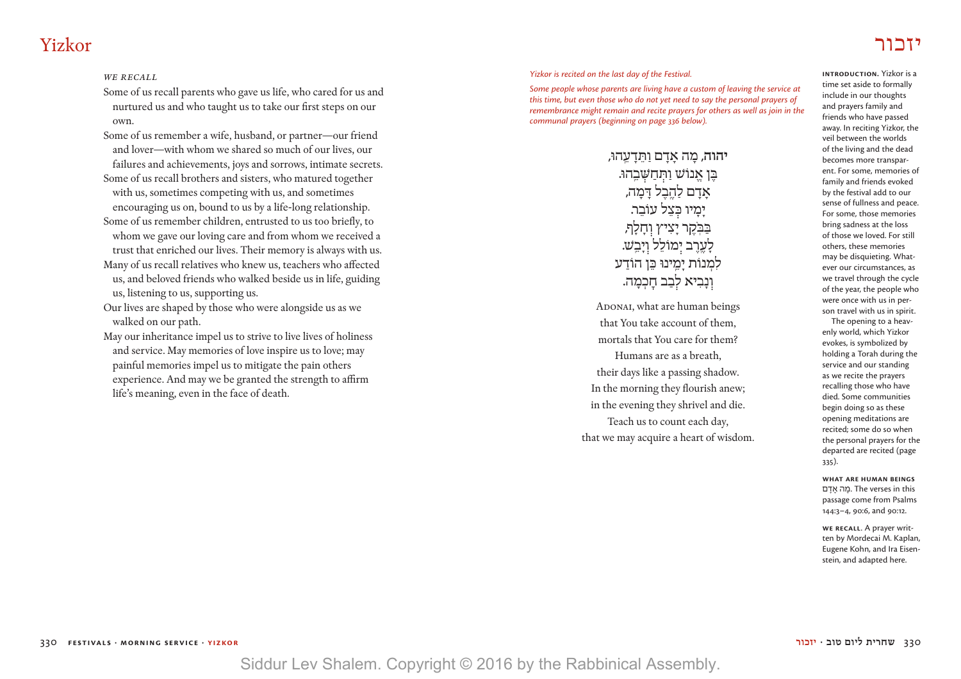## יזכור Yizkor

### *we recall*

Some of us recall parents who gave us life, who cared for us and nurtured us and who taught us to take our first steps on our own.

Some of us remember a wife, husband, or partner—our friend and lover—with whom we shared so much of our lives, our failures and achievements, joys and sorrows, intimate secrets.

Some of us recall brothers and sisters, who matured together with us, sometimes competing with us, and sometimes encouraging us on, bound to us by a life-long relationship.

Some of us remember children, entrusted to us too briefly, to whom we gave our loving care and from whom we received a trust that enriched our lives. Their memory is always with us.

Many of us recall relatives who knew us, teachers who affected us, and beloved friends who walked beside us in life, guiding us, listening to us, supporting us.

Our lives are shaped by those who were alongside us as we walked on our path.

May our inheritance impel us to strive to live lives of holiness and service. May memories of love inspire us to love; may painful memories impel us to mitigate the pain others experience. And may we be granted the strength to affirm life's meaning, even in the face of death.

*Yizkor is recited on the last day of the Festival.*

*Some people whose parents are living have a custom of leaving the service at this time, but even those who do not yet need to say the personal prayers of remembrance might remain and recite prayers for others as well as join in the communal prayers (beginning on page 336 below).*

> **יהוה, מה אדם ותדעהוּ,** ָבוֹ אַנוֹשׁ וּתּחשׁבהוּ. אַדָם לָהֱבֶל דַּמָה, ימיו כִּצל עוֹבֵר. ּבַּבִּקֶר יַצִיץ וְחַלַף, לָעֱרֵב יִמוֹלֵל וְיָבֵ*שׁ.* לִמְנוֹת יַמֵינוּ כֵּן הוֹדַע וְנָבִיא לְבַב חַכְמָה.

ADONAI, what are human beings that You take account of them, mortals that You care for them? Humans are as a breath, their days like a passing shadow. In the morning they flourish anew; in the evening they shrivel and die. Teach us to count each day, that we may acquire a heart of wisdom.

**Introduction.** Yizkor is a time set aside to formally include in our thoughts and prayers family and friends who have passed away. In reciting Yizkor, the veil between the worlds of the living and the dead becomes more transparent. For some, memories of family and friends evoked by the festival add to our sense of fullness and peace. For some, those memories bring sadness at the loss of those we loved. For still others, these memories may be disquieting. Whatever our circumstances, as we travel through the cycle of the year, the people who were once with us in person travel with us in spirit.

The opening to a heavenly world, which Yizkor evokes, is symbolized by holding a Torah during the service and our standing as we recite the prayers recalling those who have died. Some communities begin doing so as these opening meditations are recited; some do so when the personal prayers for the departed are recited (page 335).

**What are human beings**  מה אדם. The verses in this passage come from Psalms 144:3–4, 90:6, and 90:12.

**We Recall**. A prayer written by Mordecai M. Kaplan, Eugene Kohn, and Ira Eisenstein, and adapted here.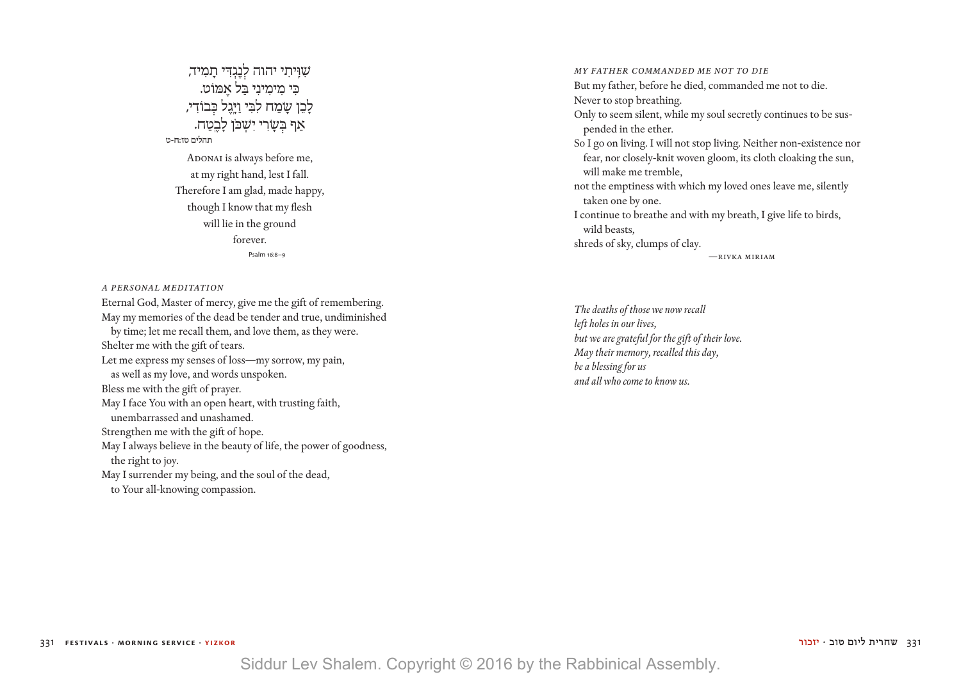שִׁוְּיתִי יהוה לְנֶגְדִּי תָמִיד, כּ ִ י מִ ימִ ינִ י ַבּל אֶ מּוֹט. לָבֵן שָׂמַח לִבִּי וַיָּגֵל כִּבוֹדִי, אַף בִּשָׂרִי יִשְׁכֹּן לָב<u>ֵ</u>טַח. תהלים טז:ח-ט ADONAI is always before me, at my right hand, lest I fall. Therefore I am glad, made happy, though I know that my flesh will lie in the ground forever. Psalm 16:8–9

*A Personal Meditation*

Eternal God, Master of mercy, give me the gift of remembering. May my memories of the dead be tender and true, undiminished by time; let me recall them, and love them, as they were. Shelter me with the gift of tears. Let me express my senses of loss—my sorrow, my pain, as well as my love, and words unspoken. Bless me with the gift of prayer. May I face You with an open heart, with trusting faith, unembarrassed and unashamed. Strengthen me with the gift of hope. May I always believe in the beauty of life, the power of goodness, the right to joy. May I surrender my being, and the soul of the dead, to Your all-knowing compassion.

*My Father Commanded Me Not To Die* But my father, before he died, commanded me not to die. Never to stop breathing. Only to seem silent, while my soul secretly continues to be suspended in the ether. So I go on living. I will not stop living. Neither non-existence nor fear, nor closely-knit woven gloom, its cloth cloaking the sun, will make me tremble, not the emptiness with which my loved ones leave me, silently taken one by one. I continue to breathe and with my breath, I give life to birds, wild beasts, shreds of sky, clumps of clay. —rivka miriam

*The deaths of those we now recall left holes in our lives, but we are grateful for the gift of their love. May their memory, recalled this day, be a blessing for us and all who come to know us.*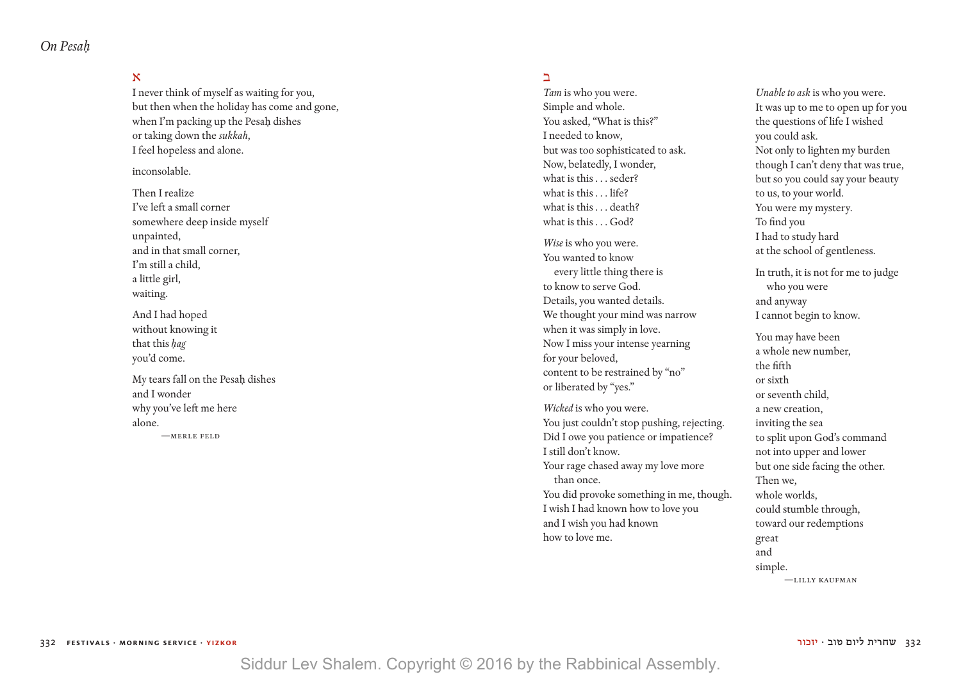*On Pesah|.|*

### א

I never think of myself as waiting for you, but then when the holiday has come and gone, when I'm packing up the Pesah dishes or taking down the *sukkah*, I feel hopeless and alone.

inconsolable.

Then I realize I've left a small corner somewhere deep inside myself unpainted, and in that small corner, I'm still a child, a little girl, waiting.

And I had hoped without knowing it that this hag you'd come.

My tears fall on the Pesah dishes and I wonder why you've left me here alone. —MERLE FELD

### ב

*Tam* is who you were. Simple and whole. You asked, "What is this?" I needed to know, but was too sophisticated to ask. Now, belatedly, I wonder, what is this . . . seder? what is this . . . life? what is this ... death? what is this . . . God?

*Wise* is who you were. You wanted to know every little thing there is to know to serve God. Details, you wanted details. We thought your mind was narrow when it was simply in love. Now I miss your intense yearning for your beloved, content to be restrained by "no" or liberated by "yes."

*Wicked* is who you were. You just couldn't stop pushing, rejecting. Did I owe you patience or impatience? I still don't know. Your rage chased away my love more than once. You did provoke something in me, though. I wish I had known how to love you and I wish you had known how to love me.

*Unable to ask* is who you were. It was up to me to open up for you the questions of life I wished you could ask. Not only to lighten my burden though I can't deny that was true, but so you could say your beauty to us, to your world. You were my mystery. To find you I had to study hard at the school of gentleness.

In truth, it is not for me to judge who you were and anyway I cannot begin to know.

You may have been a whole new number, the fifth or sixth or seventh child, a new creation, inviting the sea to split upon God's command not into upper and lower but one side facing the other. Then we, whole worlds, could stumble through, toward our redemptions great and simple. —LILLY KAUFMAN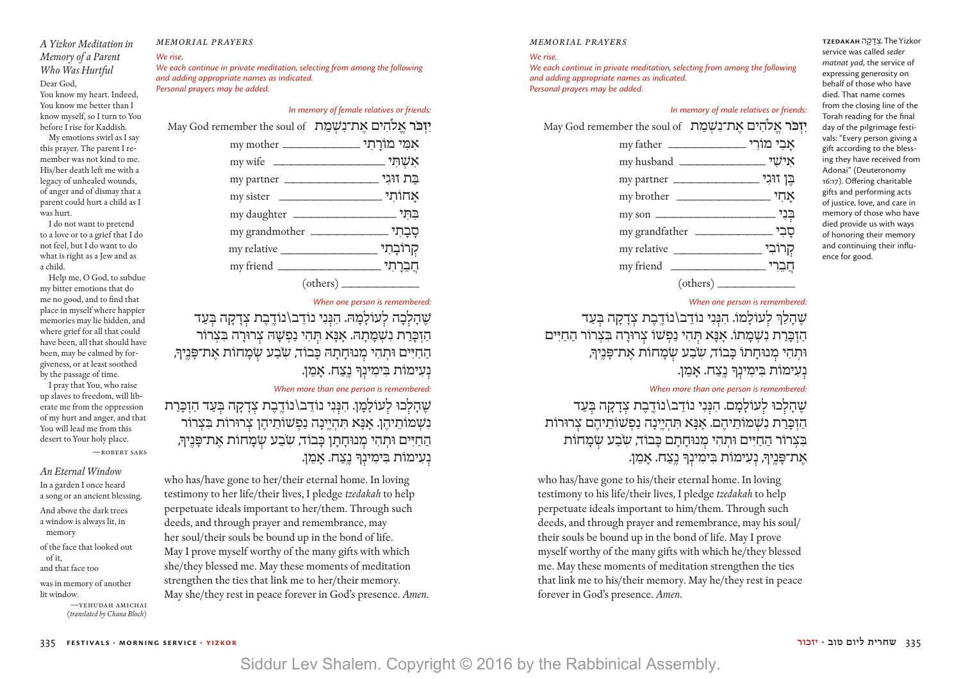### *A Yizkor Meditation in Memory of a Parent Who Was Hurtful* Dear God, You know my heart. Indeed, You know me better than I know myself, so I turn to You

before I rise for Kaddish. My emotions swirl as I say this prayer. The parent I remember was not kind to me. His/her death left me with a legacy of unhealed wounds, of anger and of dismay that a parent could hurt a child as I

was hurt. I do not want to pretend to a love or to a grief that I do not feel, but I do want to do what is right as a Jew and as

a child. Help me, O God, to subdue my bitter emotions that do me no good, and to find that place in myself where happier memories may lie hidden, and where grief for all that could have been, all that should have been, may be calmed by forgiveness, or at least soothed by the passage of time.

 I pray that You, who raise up slaves to freedom, will liberate me from the oppression of my hurt and anger, and that You will lead me from this desert to Your holy place.

—robert saks

*An Eternal Window* In a garden I once heard a song or an ancient blessing. And above the dark trees a window is always lit, in memory of the face that looked out of it,

and that face too was in memory of another

lit window.

—yehudah amichai (*translated by Chana Bloch*)

### *memorial prayers*

### *We rise.*

*We each continue in private meditation, selecting from among the following and adding appropriate names as indicated. Personal prayers may be added.*

### *In memory of female relatives or friends:*

*H***i יזכּר אלהים את־נשמת** May God remember the soul of

| אִמִּי מוֹרַתִי __________________________________ |            |
|----------------------------------------------------|------------|
|                                                    |            |
| my partner                                         | בַת זוּגִי |
|                                                    |            |
|                                                    |            |
|                                                    |            |
| my relative                                        | קִרוֹבָתִי |
|                                                    | חֲבֵרְתִי  |
|                                                    |            |

### *When one person is remembered:*

שהלכה לעולמה. הנני נודב\נודבת צדקה בעד הַזְכָּרַת נִשְׁמָתָהּ. אָנָא תְּהִי נַפְשָׁהּ צְרוּרָה בִּצְרוֹר החיים וּתהי מנוּחתה כּבוֹד*, שֹבע ש*ֹמחוֹת את־פּניךּ, נעימות בימינך נצח. אמן.

### *When more than one person is remembered:*

שהלכוּ לִעוֹלַמַן. הִנִּנִי נוֹדֵב\נוֹדֵבֵת צְדָקָה בְּעַד הַזְכָּרַת **ָנְשְׁמוֹתֵיהֵן. אַנָּא תְּהִיֵינָה נַפְשׁוֹתֵיהֵן צְרוּרוֹת בִּצְרוֹר** הַחַיִּים וּתְהִי מִנוּחַתַן כַּבוֹד*, שִׂבַע ש*ַמַחוֹת אַת־פָּנֵיך*ּ,* נְעִימוֹת בִימִינִךְ נֵצַח. אַמֵן.

who has/have gone to her/their eternal home. In loving testimony to her life/their lives, I pledge *tzedakah* to help perpetuate ideals important to her/them. Through such deeds, and through prayer and remembrance, may her soul/their souls be bound up in the bond of life. May I prove myself worthy of the many gifts with which she/they blessed me. May these moments of meditation strengthen the ties that link me to her/their memory. May she/they rest in peace forever in God's presence. *Amen*.

#### *memorial prayers*

#### *We rise.*

*We each continue in private meditation, selecting from among the following and adding appropriate names as indicated. Personal prayers may be added.*

### *In memory of male relatives or friends:*

**יִזְכֹּר אֱלֹהִים אֶת־נְשָׁמַת** May God remember the soul of

|             | my father <u>__________________</u> אָבִי מוֹרִי |
|-------------|--------------------------------------------------|
|             | אישי                                             |
|             |                                                  |
|             | <u>אחי</u> my brother                            |
|             |                                                  |
|             |                                                  |
| my relative | קרוֹבִי _                                        |
|             | חבֵרי                                            |
|             |                                                  |

### *When one person is remembered:*

שהלרְ לעולמו. הנִנִי נוֹדֵב\נוֹדֱבֶת צְדַקָה בְּעַד הַזְכַּרַת נִשְׁמַתוֹ. אַנַּא תְּהִי נַפְשׁוֹ צְרוּרַה בִּצְרוֹר הַחַיִּים וּתְהִי מִנוּחִתוֹ כּבוֹד*, שֹבע שַׂמ*חוֹת את־פּניך*ּ,* נְעִימוֹת בִּימִינְךָ נֵצַח. אַמֵן.

### *When more than one person is remembered:*

שֶׁהַלְכוּ לְעוֹלָמֶם. הִנְּנִי נוֹדֶב\נוֹדֱבֶת צִדַקָה בְּעַד ָהזכּרת נשמותיהם. אִנּא תִהיינה נפשותיהם צרוּרוֹת בִצְרוֹר הַחַיִּים וּתְהִי מְנוּחַתַם כַּבוֹד*, ש*ַבַע שָׂמַחוֹת ּאֶת־פָּנֵיךָ, נְעִימוֹת בִּימִינָךְ נֵצַח. אָמֵן.

who has/have gone to his/their eternal home. In loving testimony to his life/their lives, I pledge *tzedakah* to help perpetuate ideals important to him/them. Through such deeds, and through prayer and remembrance, may his soul/ their souls be bound up in the bond of life. May I prove myself worthy of the many gifts with which he/they blessed me. May these moments of meditation strengthen the ties that link me to his/their memory. May he/they rest in peace forever in God's presence. *Amen*.

Yizkor The .צְ דָ קָ ה **TZEDAKAH** service was called *seder matnat yad*, the service of expressing generosity on behalf of those who have died. That name comes from the closing line of the Torah reading for the final day of the pilgrimage festivals: "Every person giving a gift according to the blessing they have received from Adonai" (Deuteronomy 16:17). Offering charitable gifts and performing acts of justice, love, and care in memory of those who have died provide us with ways of honoring their memory and continuing their influence for good.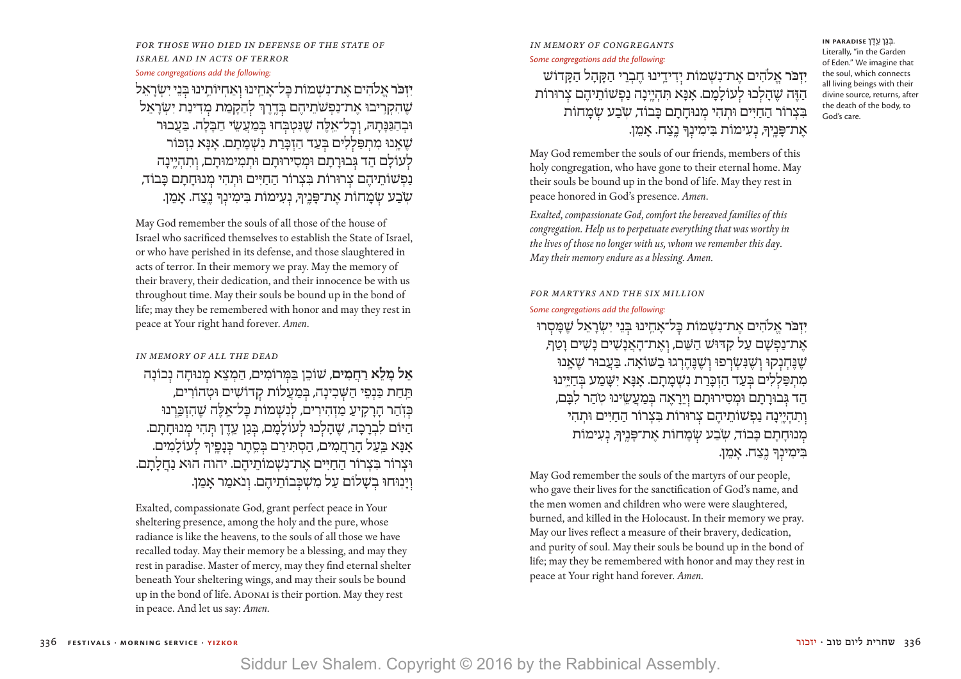FOR THOSE WHO DIED IN DEFENSE OF THE STATE OF *Israel and in acts of terror*

### *Some congregations add the following:*

**יזכּר אלהים את־נשמות כּל־אחינוּ ואחיותינוּ בִּני ישׂראל** ֹשֶׁהִקְרֵיבוּ אֶת־נַפְשֹׁתֵיהֶם בְּדֶרֶךְ לְהַקַמַת מִדִינַת יְשָׂרַאֵל וּבְהַגַּנַּתַהּ, וְכַל־אֵלֵה שֶׁנְּטְבְּחוּ בְּמַעֲשֵׂי חַבְּלָה. בַּעֲבוּר שֶׁאֲנוּ מִתְפַּלְלִים בְּעָד הַזִּכְּרַת נִשְׁמַתַם. אַנַּא נִזְכּוֹר לעוֹלם הד גִּבוּרתם וּמסירוּתם וּתמימוּתם, ותהיינה נַפְשׁוֹתֵיהֶם צְרוּרוֹת בִּצְרוֹר הַחַיִּים וּתְהִי מִנוּחַתַם כַּבוֹד*,* ְשְׂבַע שִׂמָחוֹת אֵת־פָּנֵיךָ, נְעִימוֹת בִּימִינְךָ נֵצַח. אָמֵן.

May God remember the souls of all those of the house of Israel who sacrificed themselves to establish the State of Israel, or who have perished in its defense, and those slaughtered in acts of terror. In their memory we pray. May the memory of their bravery, their dedication, and their innocence be with us throughout time. May their souls be bound up in the bond of life; may they be remembered with honor and may they rest in peace at Your right hand forever. *Amen*.

### *In Memory of All the Dead*

אל מלא רחמים*, שׁוֹכֵן בַּמְרוֹמִים, הַמְצֵא מְנוּחָה נְכוֹנָה* הַחַת כַּנְפֵי הַשָּׁבִינָה, בְּמַעֲלוֹת קִדוֹשִׁים וּטְהוֹרִים, בִּזְהַר הַרַקִיעַ מַזְהִירִים, לְנִשָׁמוֹת בַּל־אֵלֶה שֶׁהִזְבַּרנוּ הַיּוֹם לִבְרָכָה, שֶׁהָלִכוּ לִעוֹלָמָם, בְּגַן עֵדֶן תְּהִי מְנוּחָתָם. ָאַנַּא בַּעֲל הַרַחֲמִים, הַסְתִּירֶם בְּסֶתֶר כְּנָפֵיךָ לְעוֹלָמִים. וּצְרוֹר בִּצְרוֹר הַחַיִּים אֶת־נִשְׁמוֹתֵיהֶם. יהוה הוּא נַחֲלַתַם. וינוּחוּ בֹשׁלוֹם עַל מֹשַׁכֵּבוֹתיהם. ונֹאמר אמן.

Exalted, compassionate God, grant perfect peace in Your sheltering presence, among the holy and the pure, whose radiance is like the heavens, to the souls of all those we have recalled today. May their memory be a blessing, and may they rest in paradise. Master of mercy, may they find eternal shelter beneath Your sheltering wings, and may their souls be bound up in the bond of life. ADONAI is their portion. May they rest in peace. And let us say: *Amen*.

### *In memory of congregants Some congregations add the following:* **יִזְכֹּר אֱלֹהִים אֶת־נִשְׁמוֹת יִדִידֵינוּ חֶבְרֵי הַקָּהָל הַקָּדוֹש** ָ הַ ּזֶ ה ׁשֶ הָ ל כּו ל עֹולָ מָ ם. אּנָ א ּתִ הְ יֶ ֽינָ ה נַ פְ ׁשֹותֵ יהֶ ם צ רּורֹות ּבִצְרוֹר הַחַיִּים וּתְהִי מְנוּחַתַם כַּבוֹד*, שְׂבַע שָׂמַ*חוֹת

 . ְבּ גַ ן עֵ ֽ דֶ ן **PARADISE IN** Literally, "in the Garden of Eden." We imagine that the soul, which connects all living beings with their divine source, returns, after the death of the body, to God's care.

May God remember the souls of our friends, members of this holy congregation, who have gone to their eternal home. May their souls be bound up in the bond of life. May they rest in peace honored in God's presence. *Amen*.

ּאֶת־פַּנֵיךָ, נְעִימוֹת בִּימִינָךְ נֵצַח. אַמֵן.

*Exalted, compassionate God, comfort the bereaved families of this congregation. Help us to perpetuate everything that was worthy in the lives of those no longer with us, whom we remember this day. May their memory endure as a blessing. Amen.*

#### *For Martyrs and the six million*

#### *Some congregations add the following:*

**יִזְכֹּר אֱלֹהִים אֶת־נִשְׁמוֹת כָּל־אָחֵינוּ בִּנֵי יִשְׂרָאֵל שֵׁמַּסִרוּ** ָ את־נפּשׁם על קדּוּשׁ השם, ואת־האנשים נַשים וטף, שֶׁנֶּחְנִקוּ וְשֶׁנִּשָׂרִפוּ וְשֵׁנֵּהֵרְגוּ בַשׁוֹאַה. בַּעֲבוּר שֵׁאנוּ מתפּללים בַּעַד הזכּרת נעזמתם. אנּא ישַׁמע בַּחיּינוּ הֵד גִּבוּרַתַם וּמִסִירוּתַם וְיֵרַאֵה בִּמַעֲשֵׂינוּ טְהַר לִבַּם, וְתִהְיֵינָה נַפְשׁוֹתֵיהֶם צִרוּרוֹת בִּצְרוֹר הַחַיִּים וּתִהי מנוּחתם כּבוֹד*, שֹבע שמ*חוֹת את־פּניךּ, נעימוֹת ּבִימִינְךָ נֵצַח. אַמֵן.

May God remember the souls of the martyrs of our people, who gave their lives for the sanctification of God's name, and the men women and children who were were slaughtered, burned, and killed in the Holocaust. In their memory we pray. May our lives reflect a measure of their bravery, dedication, and purity of soul. May their souls be bound up in the bond of life; may they be remembered with honor and may they rest in peace at Your right hand forever. *Amen*.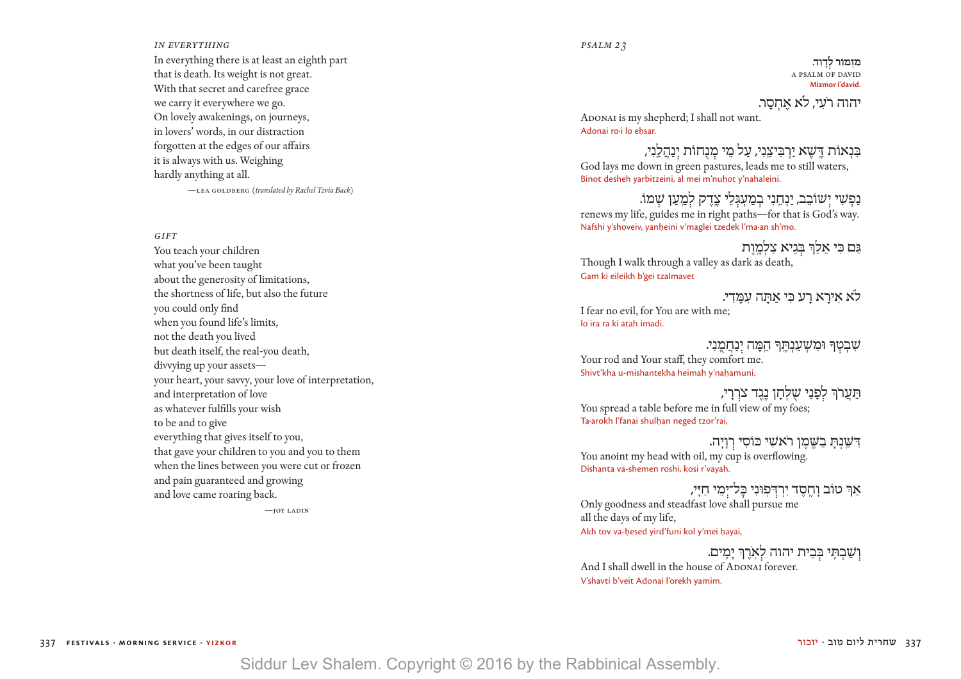#### *in everything*

In everything there is at least an eighth part that is death. Its weight is not great. With that secret and carefree grace we carry it everywhere we go. On lovely awakenings, on journeys, in lovers' words, in our distraction forgotten at the edges of our affairs it is always with us. Weighing hardly anything at all.

—LEA GOLDBERG (translated by Rachel Tzvia Back)

*Gift*

You teach your children what you've been taught about the generosity of limitations, the shortness of life, but also the future you could only find when you found life's limits, not the death you lived but death itself, the real-you death, divvying up your assets your heart, your savvy, your love of interpretation, and interpretation of love as whatever fulfills your wish to be and to give everything that gives itself to you, that gave your children to you and you to them when the lines between you were cut or frozen and pain guaranteed and growing and love came roaring back.

 $-$ j OY LADIN

#### *psalm 23*

**מִ זְ מֹור ל דָ וִ ד.** A PSALM OF DAVID **Mizmor l'david.**

יהוה רֹעי. לֹא אחסר.

ADONAI is my shepherd; I shall not want. Adonai ro·i lo ehsar.

ּבִ נְ אֹות ּדֶ ֽ ׁשֶ א יַ רְ ּבִ יצֵ ֽנִ י, עַ ל מֵ י מ נֻ חֹות י נַ הֲ לֵ ֽנִ י, God lays me down in green pastures, leads me to still waters, Binot desheh yarbitzeini, al mei m'nuhot y'nahaleini.

נַפְשִׁי יְשׁוֹבֵב, יַנְחֵנִי בְמַעְגְּלֵי צֶדֶק לְמַעַן שָֽמוֹ. renews my life, guides me in right paths—for that is God's way. Nafshi y'shoveiv, yanheini v'maglei tzedek l'ma·an sh'mo.

ּגִם כִּי אַלְךְּ בְּגִיאַ צַלְמֵוֹת Though I walk through a valley as dark as death, Gam ki eileikh b'gei tzalmavet

# לא אִירָא רָע כִּי אַתָּה עִמֲדִי.<br>I fear no evil, for You are with me;

lo ira ra ki atah imadi.

יִבְרָתְנִי,<br>Your rod and Your staff, they comfort me. Shivt'kha u-mishantekha heimah y'nahamuni.

ֿרַנִי רִלְפְנַי שָׁלְחָן נֶגֶד צֹרְרָי, You spread a table before me in full view of my foes; Ta·arokh l'fanai shulhan neged tzor'rai,

 $\mu$ ִ דְּשֲׁנְתָ בַשֶּׁמֶן רֹאשִי כּוֹסִי רְוָיָה

You anoint my head with oil, my cup is overflowing. Dishanta va-shemen roshi, kosi r'vayah.

אַרְּ טוֹב וָחֱסֶד יִרְדִּפְוּנִי בָּל־יָמֵי חַיָּי,

Only goodness and steadfast love shall pursue me all the days of my life, Akh tov va-hesed yird'funi kol y'mei hayai,

### וְשַׁבְתִּי בְּבִית יהוה לְאִרֶךְ יָמִים.

And I shall dwell in the house of ADONAI forever. V'shavti b'veit Adonai l'orekh yamim.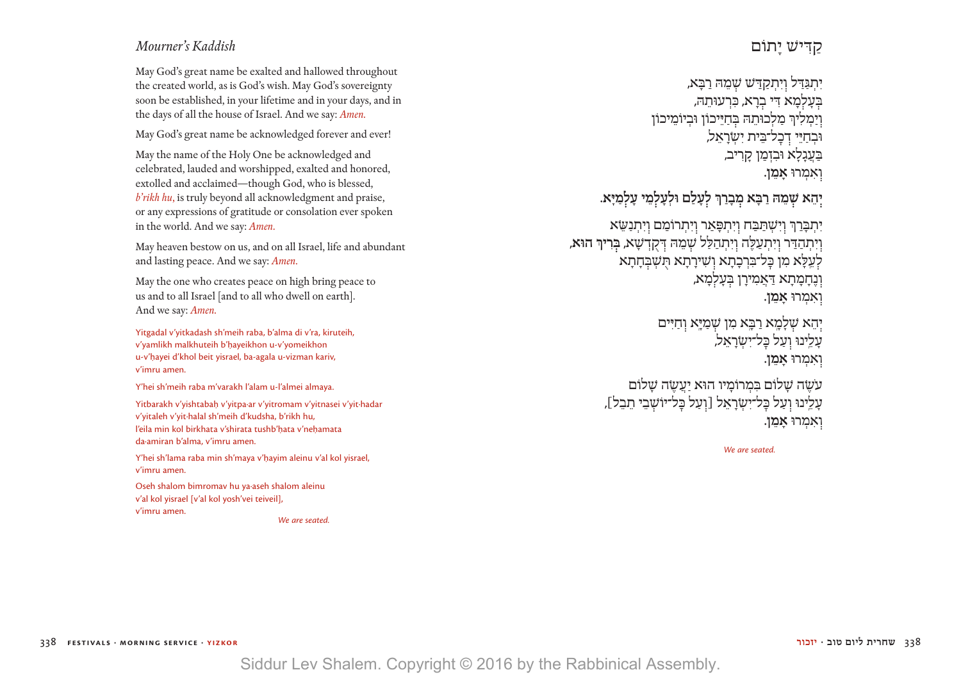### *Mourner's Kaddish*

May God's great name be exalted and hallowed throughout the created world, as is God's wish. May God's sovereignty soon be established, in your lifetime and in your days, and in the days of all the house of Israel. And we say: *Amen.*

May God's great name be acknowledged forever and ever!

May the name of the Holy One be acknowledged and celebrated, lauded and worshipped, exalted and honored, extolled and acclaimed—though God, who is blessed, *b'rikh hu*, is truly beyond all acknowledgment and praise, or any expressions of gratitude or consolation ever spoken in the world. And we say: *Amen.*

May heaven bestow on us, and on all Israel, life and abundant and lasting peace. And we say: *Amen.*

May the one who creates peace on high bring peace to us and to all Israel [and to all who dwell on earth]. And we say: *Amen.*

Yitgadal v'yitkadash sh'meih raba, b'alma di v'ra, kiruteih, v'yamlikh malkhuteih b'hayeikhon u-v'yomeikhon u-v'hayei d'khol beit yisrael, ba-agala u-vizman kariv, v'imru amen.

Y'hei sh'meih raba m'varakh l'alam u-l'almei almaya.

Yitbarakh v'yishtabah|.| v'yitpa∙ar v'yitromam v'yitnasei v'yit∙hadar v'yitaleh v'yit∙halal sh'meih d'kudsha, b'rikh hu, l'eila min kol birkhata v'shirata tushb'hata v'nehamata da∙amiran b'alma, v'imru amen.

Y'hei sh'lama raba min sh'maya v'hayim aleinu v'al kol yisrael, v'imru amen.

Oseh shalom bimromav hu ya∙aseh shalom aleinu v'al kol yisrael [v'al kol yosh'vei teiveil], v'imru amen.

 *We are seated.*

### קַ דִּ ישׁ יָ תוֹם

יְתִגְּדִּל וְיִתְקָדַּשׁ שָׁמֶהּ רַבָּא, בְּעַלְמָא דִּי בְרַא, כִּרְעוּתֶהּ, יַמִלִירְ מַלְכוּתֵה בְּחַיֵּיכוֹן וּבִיוֹמֵיכוֹן ּ בְחַיֵּי דְכְל־בֵּית יִשְׂרָאֵל, בַּעֲנָלָא וּבִזְמַן קַרִיב, ו אִ מְ רוּ **אָ מֵ ן**.

**י הֵ א שֵׁ מהּ ַ רבָּ א מ בָ רַ ְך ל עָ לַ ם וּ ַ לְ עָ ל מֵ י עָ ל מָיּא.**

יִתְבַּרַךְ וְיִשָׁתַּבַּח וְיִתְפָּאַר וְיִתְרוֹמֵם וְיִתְנָשֶׂא ַ ו יִ תְ הדּ ַ ר ו יִ תְ עַ לֶּ ה ו יִ תְ הַ לַּ ל שֵׁ מהּ דּ ְ קֻ דשָׁ א, **בּ רִ יְך הוּא**, לִעֲלָא מִן כַּל־בִּרְכָתָא וְשִׁירָתָא תִּשְׁבִּחָתָא וְנֶחֲמָתָא דַּאֲמִירַן בְּעַלְמַא, ו אִ מְ רוּ **אָ מֵ ן**.

> יִהֵא שִׁלַמָא רַבָּא מִן שָׁמַיָּא וְחַיִּים עַלֵינוּ וְעַל כַּל־יִשְׂרַאֵל, **ואמרוּ אמן.**

עשׂה שלוֹם במרוֹמיו הוּא יעשׂה שלוֹם עַלֵינוּ וְעַל כַּל־יִשְׂרַאֵל [וְעַל כַּל־יוֹשָׁבֵי תֵבֵל], **ואמרוּ אמן.** 

 *We are seated.*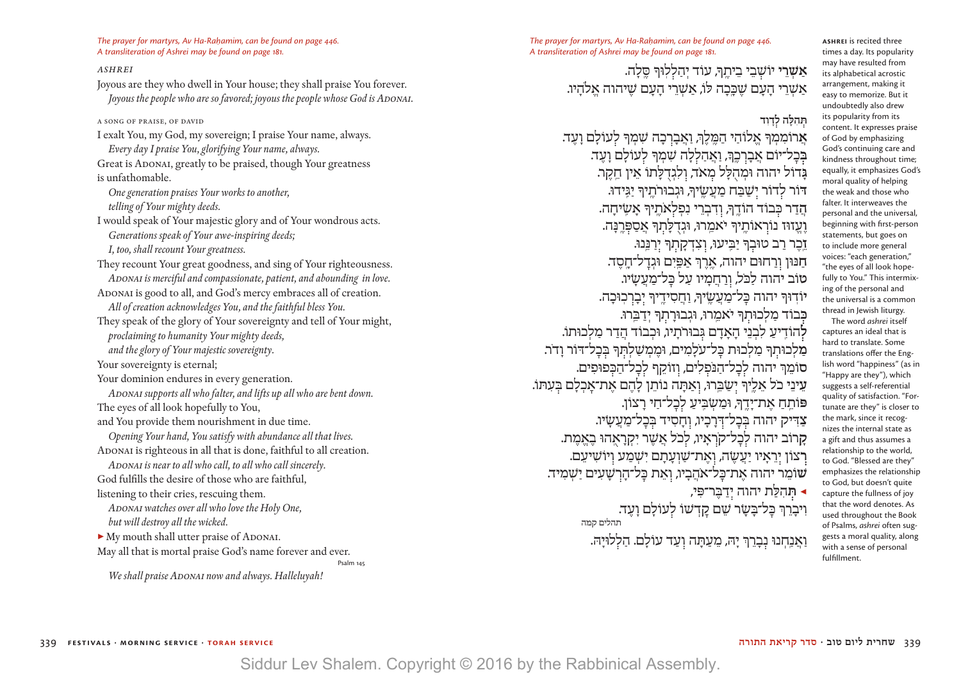*The prayer for martyrs, Av Ha-Rahamim, can be found on page 446. A transliteration of Ashrei may be found on page 181.* 

#### *Ashrei*

Joyous are they who dwell in Your house; they shall praise You forever.  *Joyous the people who are so favored; joyous the people whose God is ADONAI.* A song of praise, of David I exalt You, my God, my sovereign; I praise Your name, always.  *Every day I praise You, glorifying Your name, always.*  Great is ADONAI, greatly to be praised, though Your greatness is unfathomable.  *One generation praises Your works to another, telling of Your mighty deeds.*  I would speak of Your majestic glory and of Your wondrous acts.  *Generations speak of Your awe-inspiring deeds; I, too, shall recount Your greatness.*  They recount Your great goodness, and sing of Your righteousness.  *ADONAI is merciful and compassionate, patient, and abounding in love.*  ADONAI is good to all, and God's mercy embraces all of creation.  *All of creation acknowledges You, and the faithful bless You.*  They speak of the glory of Your sovereignty and tell of Your might,  *proclaiming to humanity Your mighty deeds, and the glory of Your majestic sovereignty.* Your sovereignty is eternal; Your dominion endures in every generation.  *ADONAI supports all who falter, and lifts up all who are bent down.* The eyes of all look hopefully to You, and You provide them nourishment in due time.  *Opening Your hand, You satisfy with abundance all that lives.* ADONAI is righteous in all that is done, faithful to all creation.  *ADONAI is near to all who call, to all who call sincerely.*  God fulfills the desire of those who are faithful, listening to their cries, rescuing them.  *ADONAI watches over all who love the Holy One, but will destroy all the wicked.*  ▶ My mouth shall utter praise of ADONAI. May all that is mortal praise God's name forever and ever. Psalm 145

 *We shall praise ADONAI now and always. Halleluyah!*

*The prayer for martyrs, Av Ha-Rahamim, can be found on page 446. A transliteration of Ashrei may be found on page 181.* 

> **ָאַשְׁרֵי יוֹשָׁבֵי בֵיתֵךְ, עוֹד יְהַלְלִוּךְ סֵלַה.** ַאַשְׁרֵי הַעֲם שֱכֵּכָה לּוֹ, אַשַׁרֵי הַעַם שִׁיהוה אלהיו.

### **תּהלֹה לדוד**

אַ רוֹמִמְךָ אֱלוֹהַי הַמֱלֵךְ, וַאֲבַרְכָה שִׁמְךָ לְעוֹלָם וַעֲד. בּבַל־יוֹם <u>אַבְרְכֵךְ, וַאֲהַלְלָה שָׁמְ</u>רָּ לְעוֹלָם וַעֶד. **ָג**ּדוֹל יהוה וּמַהלל מֵאֹד, ולגדלתו אין חקר. **דּ**וֹר ל דוֹ ר י ַשׁבּ ֲ ַ ח מַ ע ֶ ֽשׂיָך, וּגְ בוּ ֹר ַ תֶ ֽ יָך יגִּֽידוּ. הַדַר כִּבוֹד הוֹדֱךָ, וִדִבְרֵי נִפְלָאו*ֶתֵיךָ אֲשֶׂי*ּחֲה. **וֶעֱזוּז נוֹרְאוֹתֶיךְ יֹאמֵרוּ, וּגִדְלַתְךְ אֲסַפְּרֵנַּה. זֵ ֽ**כֶ ר רַ ב טוּ ַ ב ָך יבּ ִֽ יעוּ, ו צִ דְ קָ ת ָך י רַ נֵּ ֽנוּ. ח<sup>ַ נְ</sup>וּן ורחוּם יהוה, ארך אפים וּגדל־חסד. טוֹב יהוה לכ*ּל, ורחמיו על כּל־מעשׂיו.* יוֹדוּךְ יהוה כַּל־מַעֲשֵׂיךָ, וַחֲסִידֵיךְ יָבַרְכִוּכַה. כּבוֹד מלכוּתך*ּ יֹאמרוּ, וּגבוּרתךּ ידבּרוּ.* .<br>להודיע לבני האדם גבוּרתיו, וּכבוֹד הדר מלכוּתוֹ מַלְכוּתְךָ מַלְכוּת כְּל־עֹלָמִים, וּמֶמְשַׁלְתְךָ בְּכָל־דּוֹר וָדֹר. סוֹמוּ יהוה לכל־הנפלים, וזוֹקף לכל־הכּפוּפים. עֵינֵי כֹל אֵלֵיךְ יִשַׂבֵּרוּ, וְאַתְּה נוֹתֵן לָהֶם אֶת־אַכְלָם בִּעָתּוֹ. פּוֹתִה את־יִדך*ּ,* וּמשׂבּיע לכל־חי רצוֹן. צדיק יהוה בּכל־דּרכיו, וחסיד בּכל־מעשׂיו. **קַרוֹב יהוה לְכַל־קֹרְאֵיו, לְכֹל אֲשֶׁר יִקְרַאֲהוּ בֵאֱמֶת.** רְצוֹן יִרְאִיו יַעֲשֶׂה, וְאֶת־שַׁוְעַתַם יִשְׁמַע וְיוֹשִׁיעֵם. **שׁ**וֹמֵ ר יהוה אֶ ת־כּ ֹ ׇ ל־אהֲ בָ יו, ו אֵ ת כּ ׇ ל־הָ רשׁ ַ ָ עִ ים ישׁ ְ מִ יד. ◀ **תּ** ַ הִ לַּ ת יהוה י דבֶּ ר־פִּ י, וִיבָרֵךְ בְּל־בָּשָׂר שֵׁם קָדְשׁוֹ לְעוֹלָם וָעֶד. י די די די די די די די די התלים קמה .<br>תהלים קמה

וַ אֲנַחְנוּ נִבְרֵךְ יָה, מֵעַתָּה וְעַד עוֹלָם. הַלְלוּיַהּ.

times a day. Its popularity may have resulted from its alphabetical acrostic arrangement, making it easy to memorize. But it undoubtedly also drew its popularity from its content. It expresses praise of God by emphasizing God's continuing care and kindness throughout time; equally, it emphasizes God's moral quality of helping the weak and those who falter. It interweaves the personal and the universal, beginning with first-person statements, but goes on to include more general voices: "each generation," "the eyes of all look hopefully to You." This intermixing of the personal and the universal is a common thread in Jewish liturgy.

**Ashrei** is recited three

The word *ashrei* itself captures an ideal that is hard to translate. Some translations offer the English word "happiness" (as in "Happy are they"), which suggests a self-referential quality of satisfaction. "Fortunate are they" is closer to the mark, since it recognizes the internal state as a gift and thus assumes a relationship to the world, to God. "Blessed are they" emphasizes the relationship to God, but doesn't quite capture the fullness of joy that the word denotes. As used throughout the Book of Psalms, *ashrei* often suggests a moral quality, along with a sense of personal fulfillment.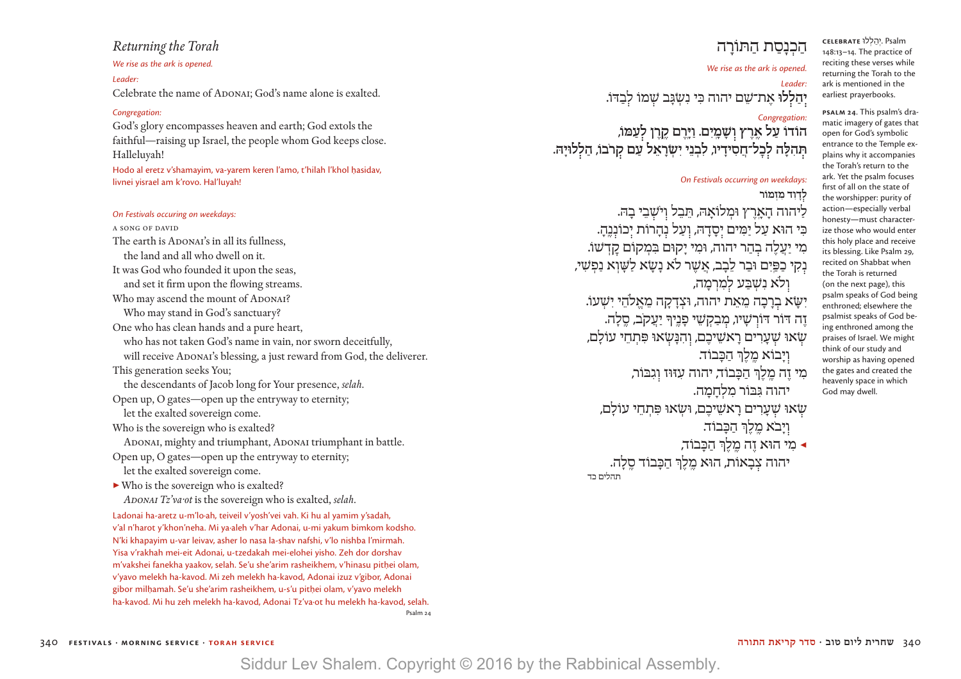### *Returning the Torah*

### *We rise as the ark is opened.*

*Leader:* Celebrate the name of ADONAI; God's name alone is exalted.

### *Congregation:*

God's glory encompasses heaven and earth; God extols the faithful—raising up Israel, the people whom God keeps close. Halleluyah!

Hodo al eretz v'shamayim, va-yarem keren l'amo, t'hilah l'khol hasidav, livnei yisrael am k'rovo. Hal'luyah!

### *On Festivals occuring on weekdays:*

A Song of David The earth is ADONAI's in all its fullness, the land and all who dwell on it. It was God who founded it upon the seas, and set it firm upon the flowing streams. Who may ascend the mount of ADONAI? Who may stand in God's sanctuary? One who has clean hands and a pure heart, who has not taken God's name in vain, nor sworn deceitfully, will receive ADONAI's blessing, a just reward from God, the deliverer. This generation seeks You; the descendants of Jacob long for Your presence, *selah*. Open up, O gates—open up the entryway to eternity; let the exalted sovereign come. Who is the sovereign who is exalted? ADONAI, mighty and triumphant, ADONAI triumphant in battle. Open up, O gates—open up the entryway to eternity; let the exalted sovereign come. ▶ Who is the sovereign who is exalted?  *ADONAI Tz'va·ot* is the sovereign who is exalted, *selah*. Ladonai ha-aretz u-m'lo·ah, teiveil v'yosh'vei vah. Ki hu al yamim y'sadah, v'al n'harot y'khon'neha. Mi ya·aleh v'har Adonai, u-mi yakum bimkom kodsho. N'ki khapayim u-var leivav, asher lo nasa la-shav nafshi, v'lo nishba l'mirmah. Yisa v'rakhah mei-eit Adonai, u-tzedakah mei-elohei yisho. Zeh dor dorshav m'vakshei fanekha yaakov, selah. Se'u she'arim rasheikhem, v'hinasu pithei olam, v'yavo melekh ha-kavod. Mi zeh melekh ha-kavod, Adonai izuz v'gibor, Adonai

gibor milhamah. Se'u she'arim rasheikhem, u-s'u pithei olam, v'yavo melekh ha-kavod. Mi hu zeh melekh ha-kavod, Adonai Tz'va·ot hu melekh ha-kavod, selah.

Psalm 24

## הכנסת התּוֹרה

### *We rise as the ark is opened.*

### *Leader:* יִהַלְלוּ אֶת־שֶם יהוה כִּי נִשְ*ֹגַּב שָׁמוֹ לִבְ*דֹו.

### *Congregation:*

**הֹודֹו עַ ל אֶ ֽ רֶ ץ ו ׁשָ מָ ֽ יִ ם. וַ ּיָ ֽרֶ ם קֶ ֽ רֶ ן ל עַ ּמֹו,** לכל־חַסִידֵיו, לִבְנֵי יִשְׂרַאֵל עַם קרבו, הַלְלוּיַה.

### *On Festivals occurring on weekdays:*

### **ל דָ וִ ד מִ זְ מוֹר**

ליהוה הארץ וּמלוֹאהּ, תִּבל וישׁבי בהּ. ִכּי הוּ ָ א עַ ל יַ מִּ ים י סָ דהּ, ו עַ ל נ הָ רוֹת י כוֹנ נֶ ֽהָ . מִי יַעֲלֶה בְהַר יהוה, וּמִי יַקוּם בִּמְקוֹם קַדְשׁוֹ. נְקִי כַפֵּיִם וּבַר לֵבַב, אֲשֶׁר לֹא נַשָׂא לַשָּׁוָא נַפִשִּׁי, וִלֹא נִשְׁבַּע לִמְרְמַה, יִשָּׂא בְרָכָה מֵאֵת יהוה, וּצְדָקַה מֵאֵלהֵי יִשׁעוֹ. זֶה דּוֹר דּוֹרְשָׁיוּ, מִבַקִשֵּׁי פָנֵיךְ יַעֲקֹב, סֵלָה. שׂאוּ שָׁעָרִים רָאשֵׁיכֵם, וְהִנָּשָׂאוּ פִּתְחֵי עוֹלַם, ויבוֹא מלךּ הכּבוֹד. ַ מִ י זֶ ה מֶ ֽ לֶ ְך הכָּ בוֹ ִ ד, יהוה עזּוּ ִ ז ו גבּוֹר, יהוה גִּבּוֹר מִלְחִמָה. שִׂאוּ שָׁעֲרִים רַאשֵׁיכֶם, וּשָׂאוּ פִּתְחֵי עוֹלַם, וַיַּבֹא מֶלֶךְ הַכַּבוֹד. ◀ מִ י הוּ ַ א זֶ ה מֶ ֽ לֶ ְך הכָּ בוֹד,

יהוה צבאוֹת, הוּא מלךְ הכּבוֹד סלה. תהלים כד

**Psalm 24**. This psalm's dramatic imagery of gates that open for God's symbolic entrance to the Temple explains why it accompanies the Torah's return to the ark. Yet the psalm focuses first of all on the state of the worshipper: purity of action—especially verbal honesty—must characterize those who would enter this holy place and receive its blessing. Like Psalm 29, recited on Shabbat when the Torah is returned (on the next page), this psalm speaks of God being enthroned; elsewhere the psalmist speaks of God being enthroned among the praises of Israel. We might think of our study and worship as having opened the gates and created the heavenly space in which God may dwell.

 Psalm . ּ יְ הַ לְ לו **celebrate** 148:13–14. The practice of reciting these verses while returning the Torah to the ark is mentioned in the earliest prayerbooks.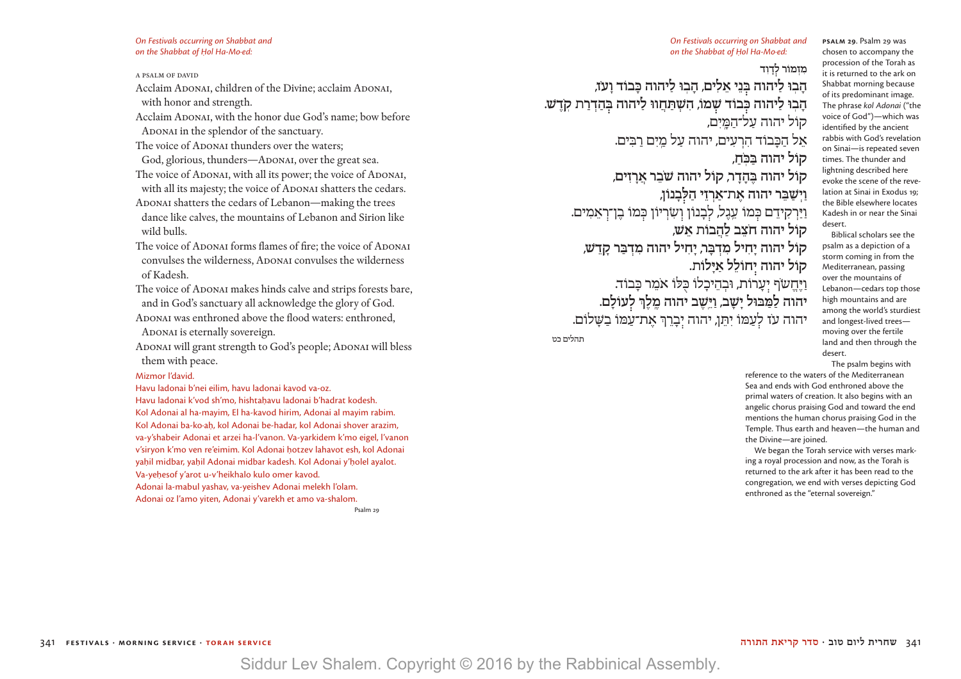*On Festivals occurring on Shabbat and on the Shabbat of Hol Ha-Mo∙ed:* 

#### A PSALM OF DAVID

Acclaim ADONAI, children of the Divine; acclaim ADONAI, with honor and strength.

Acclaim ADONAI, with the honor due God's name; bow before ADONAI in the splendor of the sanctuary.

The voice of ADONAI thunders over the waters;

God, glorious, thunders—ADONAI, over the great sea. The voice of ADONAI, with all its power; the voice of ADONAI, with all its majesty; the voice of ADONAI shatters the cedars. ADONAI shatters the cedars of Lebanon—making the trees dance like calves, the mountains of Lebanon and Sirion like

wild bulls.

- The voice of ADONAI forms flames of fire; the voice of ADONAI convulses the wilderness, ADONAI convulses the wilderness of Kadesh.
- The voice of ADONAI makes hinds calve and strips forests bare, and in God's sanctuary all acknowledge the glory of God.
- ADONAI was enthroned above the flood waters: enthroned, ADONAI is eternally sovereign.
- ADONAI will grant strength to God's people; ADONAI will bless them with peace.

#### Mizmor l'david.

Havu ladonai b'nei eilim, havu ladonai kavod va-oz.

Havu ladonai k'vod sh'mo, hishtahavu ladonai b'hadrat kodesh. Kol Adonai al ha-mayim, El ha-kavod hirim, Adonai al mayim rabim. Kol Adonai ba-ko·ah, kol Adonai be-hadar, kol Adonai shover arazim, va-y'shabeir Adonai et arzei ha-l'vanon. Va-yarkidem k'mo eigel, l'vanon v'siryon k'mo ven re'eimim. Kol Adonai hotzev lahavot esh, kol Adonai yahil midbar, yahil Adonai midbar kadesh. Kol Adonai y'holel ayalot. Va-yehesof y'arot u-v'heikhalo kulo omer kavod. Adonai la-mabul yashav, va-yeishev Adonai melekh l'olam. Adonai oz l'amo yiten, Adonai y'varekh et amo va-shalom.

Psalm 29

*On Festivals occurring on Shabbat and on the Shabbat of Hol Ha-Mo∙ed:* 

### מזמוֹר לדוד

הָבִוּ לַיהוה בְּנֵי אֵלִים, הַבְוּ לַיהוה כַּבוֹד וַעֹז, הַבִ**ּוּ לַיהוה כִּבוֹד שִׁמֹו, הִשְׁתַּחֲווּ** לַיהוה בְּהַדְרַת קֹדָש. קול יהוה על־המים, אֵל הַכַּבוֹד הִרְעִים, יהוה עַל מַיִם רבּים. **ֹ קֹול יהוה ּבַ ּכ ֽ חַ , ֹ קֹול יהוה ּבֶ הָ דָ ר, קֹול יהוה ׁשבֵ ר אֲ רָ זִ ים, וַ יְ ׁשַ ּבֵ ר יהוה אֶ ת־אַ רְ זֵ י הַ ּל בָ נֹון,** וַיַּרְקִידֵם כִּמוֹ עֱגֶל, לִבְנוֹן וְשִׂרִיוֹן כִּמוֹ בֶן־רְאֲמִים. **ֹ קֹול יהוה חצֵ ב לַ הֲ בֹות אֵ ׁש, קֹול יהוה יָ חִ יל מִ דְ ּבָ ר, יָ חִ יל יהוה מִ דְ ּבַ ר קָ דֵ ׁש, ָ קֹול יהוה י חֹולֵ ל אַ ּילֹות.** וַיֶּחֱשֹׂף יְעָרוֹת, וּבְהֵיכָלוֹ כִּלוֹ אמֵר כַּבוֹד. **יהוה לַ ּמַ ּבּול יָ ׁשָ ב, וַ ּיֵ ֽׁשֶ ב יהוה מֶ ֽ לֶ ְך ל עֹולָ ם.** יהוה עז לְעַמוֹ יִתֵן, יהוה יִבְרֵךְ אֶת־עַמוֹ בֹּשׁלוֹם. תהלים כט

**PSALM 29**. Psalm 29 was chosen to accompany the procession of the Torah as it is returned to the ark on Shabbat morning because of its predominant image. The phrase *kol Adonai* ("the voice of God")—which was identified by the ancient rabbis with God's revelation on Sinai—is repeated seven times. The thunder and lightning described here evoke the scene of the revelation at Sinai in Exodus 19; the Bible elsewhere locates Kadesh in or near the Sinai desert.

Biblical scholars see the psalm as a depiction of a storm coming in from the Mediterranean, passing over the mountains of Lebanon—cedars top those high mountains and are among the world's sturdiest and longest-lived trees moving over the fertile land and then through the desert.

The psalm begins with

reference to the waters of the Mediterranean Sea and ends with God enthroned above the primal waters of creation. It also begins with an angelic chorus praising God and toward the end mentions the human chorus praising God in the Temple. Thus earth and heaven—the human and the Divine—are joined.

We began the Torah service with verses marking a royal procession and now, as the Torah is returned to the ark after it has been read to the congregation, we end with verses depicting God enthroned as the "eternal sovereign."